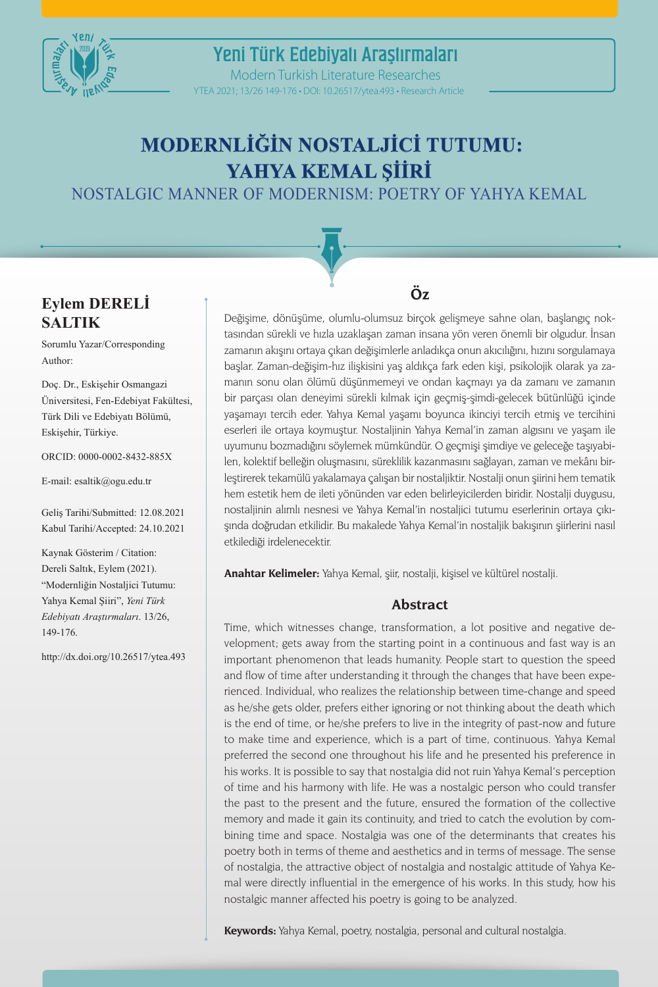

YTEA 2021; 13/26 149-176 • DOI: 10.26517/ytea.493 • Research Article Modern Turkish Literature Researches

# **MODERNLİĞİN NOSTALJİCİ TUTUMU: YAHYA KEMAL ŞİİRİ**

NOSTALGIC MANNER OF MODERNISM: POETRY OF YAHYA KEMAL

### **Eylem DERELİ SALTIK**

Sorumlu Yazar/Corresponding Author:

Doç. Dr., Eskişehir Osmangazi Üniversitesi, Fen-Edebiyat Fakültesi, Türk Dili ve Edebiyatı Bölümü, Eskişehir, Türkiye.

ORCID: 0000-0002-8432-885X

E-mail: esaltik@ogu.edu.tr

Geliş Tarihi/Submitted: 12.08.2021 Kabul Tarihi/Accepted: 24.10.2021

Kaynak Gösterim / Citation: Dereli Saltık, Eylem (2021). "Modernliğin Nostaljici Tutumu: Yahya Kemal Şiiri", *Yeni Türk Edebiyatı Araştırmaları*. 13/26, 149-176.

http://dx.doi.org/10.26517/ytea.493

## **Öz**

Değişime, dönüşüme, olumlu-olumsuz birçok gelişmeye sahne olan, başlangıç noktasından sürekli ve hızla uzaklaşan zaman insana yön veren önemli bir olgudur. İnsan zamanın akışını ortaya çıkan değişimlerle anladıkça onun akıcılığını, hızını sorgulamaya başlar. Zaman-değişim-hız ilişkisini yaş aldıkça fark eden kişi, psikolojik olarak ya zamanın sonu olan ölümü düşünmemeyi ve ondan kaçmayı ya da zamanı ve zamanın bir parçası olan deneyimi sürekli kılmak için geçmiş-şimdi-gelecek bütünlüğü içinde yaşamayı tercih eder. Yahya Kemal yaşamı boyunca ikinciyi tercih etmiş ve tercihini eserleri ile ortaya koymuştur. Nostaljinin Yahya Kemal'in zaman algısını ve yaşam ile uyumunu bozmadığını söylemek mümkündür. O geçmişi şimdiye ve geleceğe taşıyabilen, kolektif belleğin oluşmasını, süreklilik kazanmasını sağlayan, zaman ve mekânı birleştirerek tekamülü yakalamaya çalışan bir nostaljiktir. Nostalji onun şiirini hem tematik hem estetik hem de ileti yönünden var eden belirleyicilerden biridir. Nostalji duygusu, nostaljinin alımlı nesnesi ve Yahya Kemal'in nostaljici tutumu eserlerinin ortaya çıkışında doğrudan etkilidir. Bu makalede Yahya Kemal'in nostaljik bakışının şiirlerini nasıl etkilediği irdelenecektir.

**Anahtar Kelimeler:** Yahya Kemal, şiir, nostalji, kişisel ve kültürel nostalji.

#### **Abstract**

Time, which witnesses change, transformation, a lot positive and negative development; gets away from the starting point in a continuous and fast way is an important phenomenon that leads humanity. People start to question the speed and flow of time after understanding it through the changes that have been experienced. Individual, who realizes the relationship between time-change and speed as he/she gets older, prefers either ignoring or not thinking about the death which is the end of time, or he/she prefers to live in the integrity of past-now and future to make time and experience, which is a part of time, continuous. Yahya Kemal preferred the second one throughout his life and he presented his preference in his works. It is possible to say that nostalgia did not ruin Yahya Kemal's perception of time and his harmony with life. He was a nostalgic person who could transfer the past to the present and the future, ensured the formation of the collective memory and made it gain its continuity, and tried to catch the evolution by combining time and space. Nostalgia was one of the determinants that creates his poetry both in terms of theme and aesthetics and in terms of message. The sense of nostalgia, the attractive object of nostalgia and nostalgic attitude of Yahya Kemal were directly influential in the emergence of his works. In this study, how his nostalgic manner affected his poetry is going to be analyzed.

**Keywords:** Yahya Kemal, poetry, nostalgia, personal and cultural nostalgia.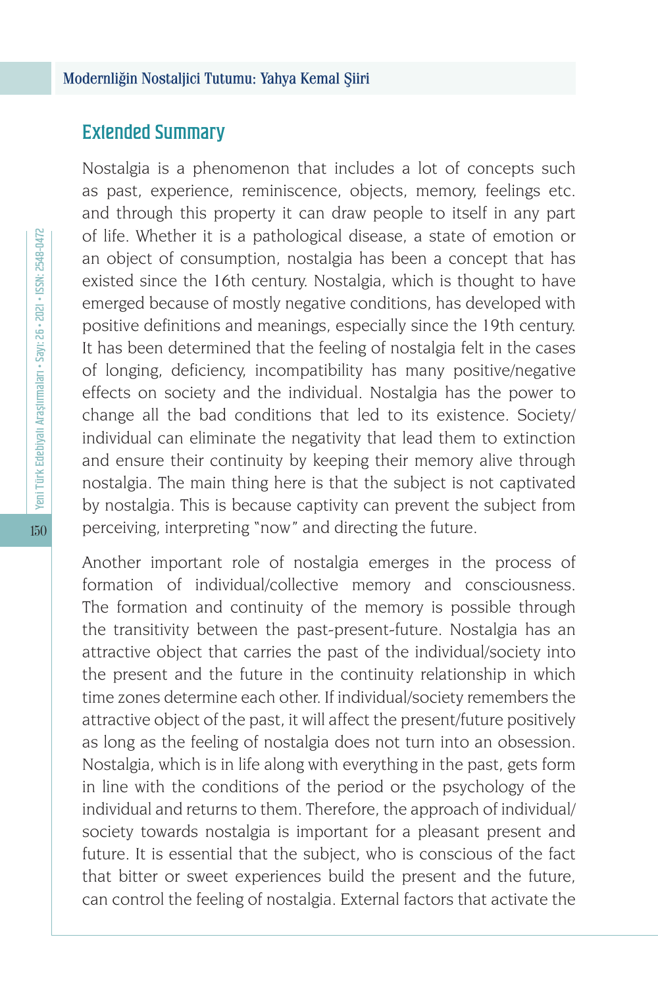### Extended Summary

Nostalgia is a phenomenon that includes a lot of concepts such as past, experience, reminiscence, objects, memory, feelings etc. and through this property it can draw people to itself in any part of life. Whether it is a pathological disease, a state of emotion or an object of consumption, nostalgia has been a concept that has existed since the 16th century. Nostalgia, which is thought to have emerged because of mostly negative conditions, has developed with positive definitions and meanings, especially since the 19th century. It has been determined that the feeling of nostalgia felt in the cases of longing, deficiency, incompatibility has many positive/negative effects on society and the individual. Nostalgia has the power to change all the bad conditions that led to its existence. Society/ individual can eliminate the negativity that lead them to extinction and ensure their continuity by keeping their memory alive through nostalgia. The main thing here is that the subject is not captivated by nostalgia. This is because captivity can prevent the subject from perceiving, interpreting "now" and directing the future.

Another important role of nostalgia emerges in the process of formation of individual/collective memory and consciousness. The formation and continuity of the memory is possible through the transitivity between the past-present-future. Nostalgia has an attractive object that carries the past of the individual/society into the present and the future in the continuity relationship in which time zones determine each other. If individual/society remembers the attractive object of the past, it will affect the present/future positively as long as the feeling of nostalgia does not turn into an obsession. Nostalgia, which is in life along with everything in the past, gets form in line with the conditions of the period or the psychology of the individual and returns to them. Therefore, the approach of individual/ society towards nostalgia is important for a pleasant present and future. It is essential that the subject, who is conscious of the fact that bitter or sweet experiences build the present and the future, can control the feeling of nostalgia. External factors that activate the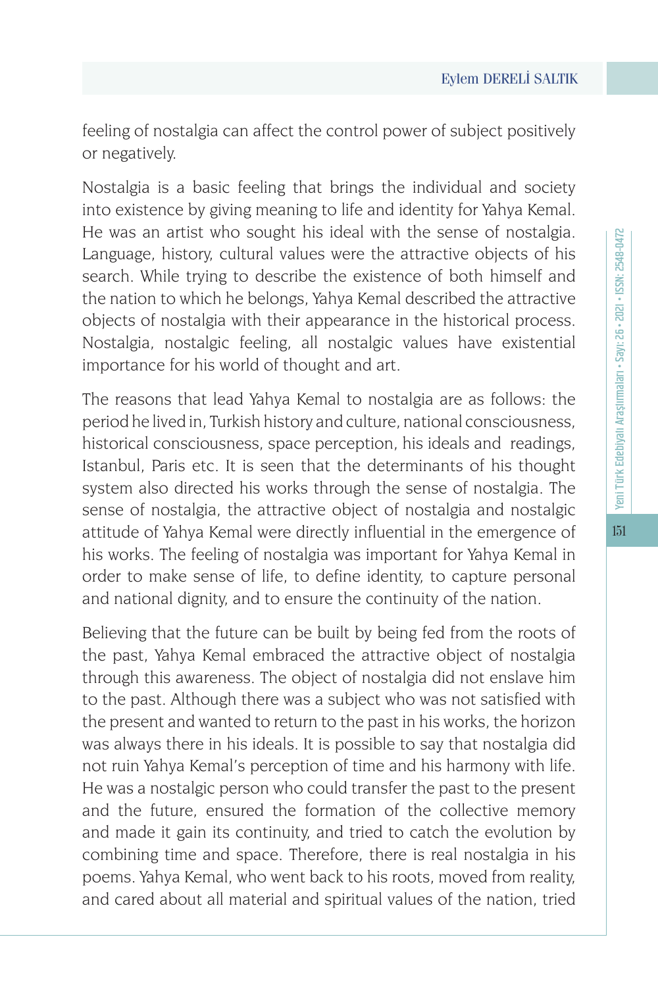feeling of nostalgia can affect the control power of subject positively or negatively.

Nostalgia is a basic feeling that brings the individual and society into existence by giving meaning to life and identity for Yahya Kemal. He was an artist who sought his ideal with the sense of nostalgia. Language, history, cultural values were the attractive objects of his search. While trying to describe the existence of both himself and the nation to which he belongs, Yahya Kemal described the attractive objects of nostalgia with their appearance in the historical process. Nostalgia, nostalgic feeling, all nostalgic values have existential importance for his world of thought and art.

The reasons that lead Yahya Kemal to nostalgia are as follows: the period he lived in, Turkish history and culture, national consciousness, historical consciousness, space perception, his ideals and readings, Istanbul, Paris etc. It is seen that the determinants of his thought system also directed his works through the sense of nostalgia. The sense of nostalgia, the attractive object of nostalgia and nostalgic attitude of Yahya Kemal were directly influential in the emergence of his works. The feeling of nostalgia was important for Yahya Kemal in order to make sense of life, to define identity, to capture personal and national dignity, and to ensure the continuity of the nation.

Believing that the future can be built by being fed from the roots of the past, Yahya Kemal embraced the attractive object of nostalgia through this awareness. The object of nostalgia did not enslave him to the past. Although there was a subject who was not satisfied with the present and wanted to return to the past in his works, the horizon was always there in his ideals. It is possible to say that nostalgia did not ruin Yahya Kemal's perception of time and his harmony with life. He was a nostalgic person who could transfer the past to the present and the future, ensured the formation of the collective memory and made it gain its continuity, and tried to catch the evolution by combining time and space. Therefore, there is real nostalgia in his poems. Yahya Kemal, who went back to his roots, moved from reality, and cared about all material and spiritual values of the nation, tried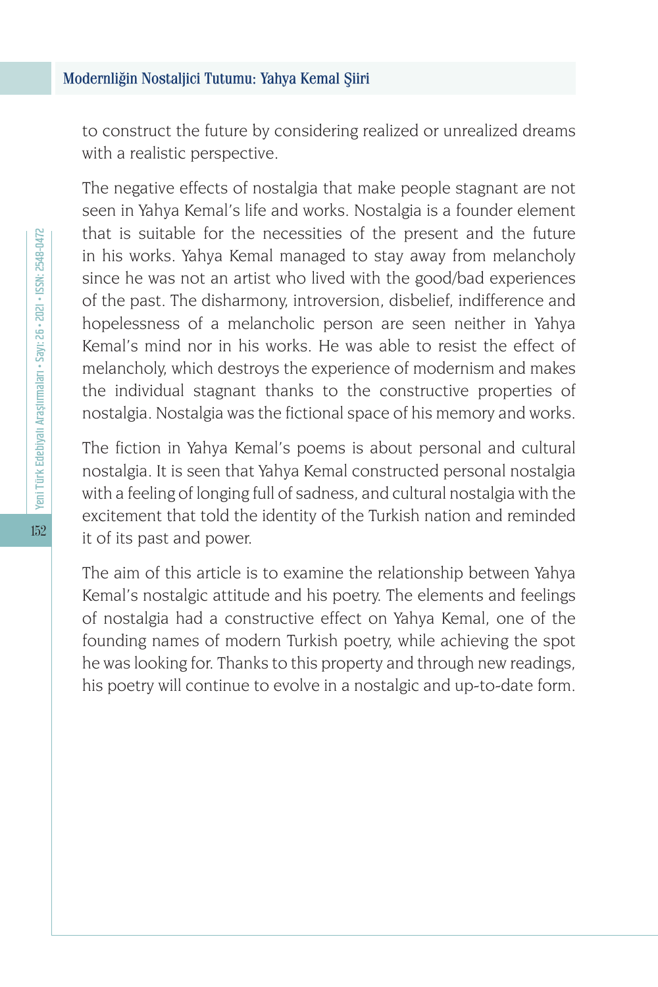to construct the future by considering realized or unrealized dreams with a realistic perspective.

The negative effects of nostalgia that make people stagnant are not seen in Yahya Kemal's life and works. Nostalgia is a founder element that is suitable for the necessities of the present and the future in his works. Yahya Kemal managed to stay away from melancholy since he was not an artist who lived with the good/bad experiences of the past. The disharmony, introversion, disbelief, indifference and hopelessness of a melancholic person are seen neither in Yahya Kemal's mind nor in his works. He was able to resist the effect of melancholy, which destroys the experience of modernism and makes the individual stagnant thanks to the constructive properties of nostalgia. Nostalgia was the fictional space of his memory and works.

The fiction in Yahya Kemal's poems is about personal and cultural nostalgia. It is seen that Yahya Kemal constructed personal nostalgia with a feeling of longing full of sadness, and cultural nostalgia with the excitement that told the identity of the Turkish nation and reminded it of its past and power.

The aim of this article is to examine the relationship between Yahya Kemal's nostalgic attitude and his poetry. The elements and feelings of nostalgia had a constructive effect on Yahya Kemal, one of the founding names of modern Turkish poetry, while achieving the spot he was looking for. Thanks to this property and through new readings, his poetry will continue to evolve in a nostalgic and up-to-date form.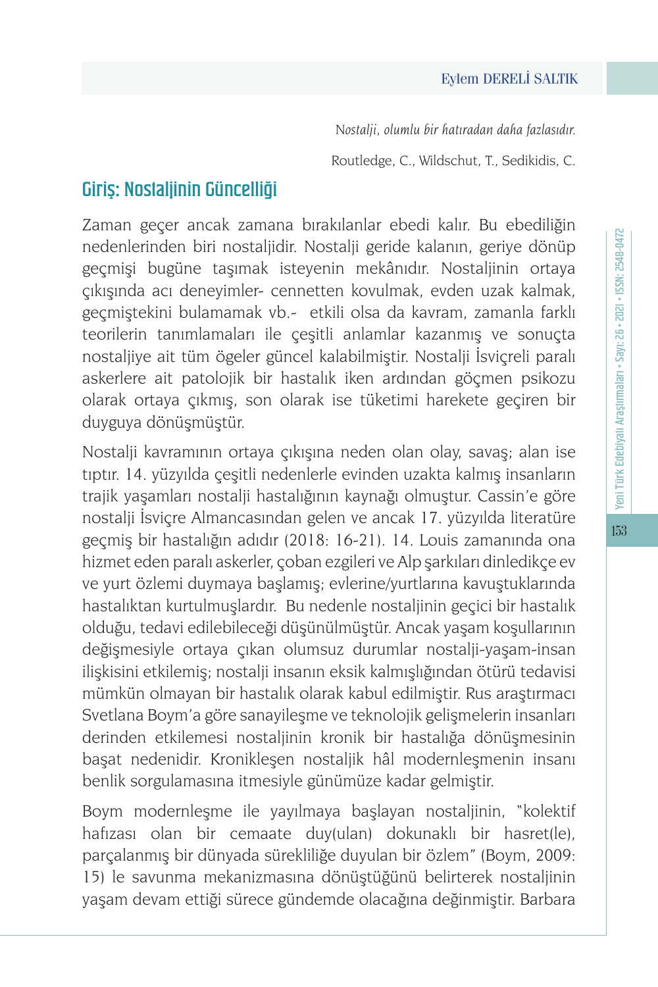#### Eylem DERELİ SALTIK

*Nostalji, olumlu bir hatıradan daha fazlasıdır.*

Routledge, C., Wildschut, T., Sedikidis, C.

## Giriş: Nostaljinin Güncelliği

Zaman geçer ancak zamana bırakılanlar ebedi kalır. Bu ebediliğin nedenlerinden biri nostaljidir. Nostalji geride kalanın, geriye dönüp geçmişi bugüne taşımak isteyenin mekânıdır. Nostaljinin ortaya çıkışında acı deneyimler- cennetten kovulmak, evden uzak kalmak, geçmiştekini bulamamak vb.- etkili olsa da kavram, zamanla farklı teorilerin tanımlamaları ile çeşitli anlamlar kazanmış ve sonuçta nostaljiye ait tüm ögeler güncel kalabilmiştir. Nostalji İsviçreli paralı askerlere ait patolojik bir hastalık iken ardından göçmen psikozu olarak ortaya çıkmış, son olarak ise tüketimi harekete geçiren bir duyguya dönüşmüştür.

Nostalji kavramının ortaya çıkışına neden olan olay, savaş; alan ise tıptır. 14. yüzyılda çeşitli nedenlerle evinden uzakta kalmış insanların trajik yaşamları nostalji hastalığının kaynağı olmuştur. Cassin'e göre nostalji İsviçre Almancasından gelen ve ancak 17. yüzyılda literatüre geçmiş bir hastalığın adıdır (2018: 16-21). 14. Louis zamanında ona hizmet eden paralı askerler, çoban ezgileri ve Alp şarkıları dinledikçe ev ve yurt özlemi duymaya başlamış; evlerine/yurtlarına kavuştuklarında hastalıktan kurtulmuşlardır. Bu nedenle nostaljinin geçici bir hastalık olduğu, tedavi edilebileceği düşünülmüştür. Ancak yaşam koşullarının değişmesiyle ortaya çıkan olumsuz durumlar nostalji-yaşam-insan ilişkisini etkilemiş; nostalji insanın eksik kalmışlığından ötürü tedavisi mümkün olmayan bir hastalık olarak kabul edilmiştir. Rus araştırmacı Svetlana Boym'a göre sanayileşme ve teknolojik gelişmelerin insanları derinden etkilemesi nostaljinin kronik bir hastalığa dönüşmesinin başat nedenidir. Kronikleşen nostaljik hâl modernleşmenin insanı benlik sorgulamasına itmesiyle günümüze kadar gelmiştir.

Boym modernleşme ile yayılmaya başlayan nostaljinin, "kolektif hafızası olan bir cemaate duy(ulan) dokunaklı bir hasret(le), parçalanmış bir dünyada sürekliliğe duyulan bir özlem" (Boym, 2009: 15) le savunma mekanizmasına dönüştüğünü belirterek nostaljinin yaşam devam ettiği sürece gündemde olacağına değinmiştir. Barbara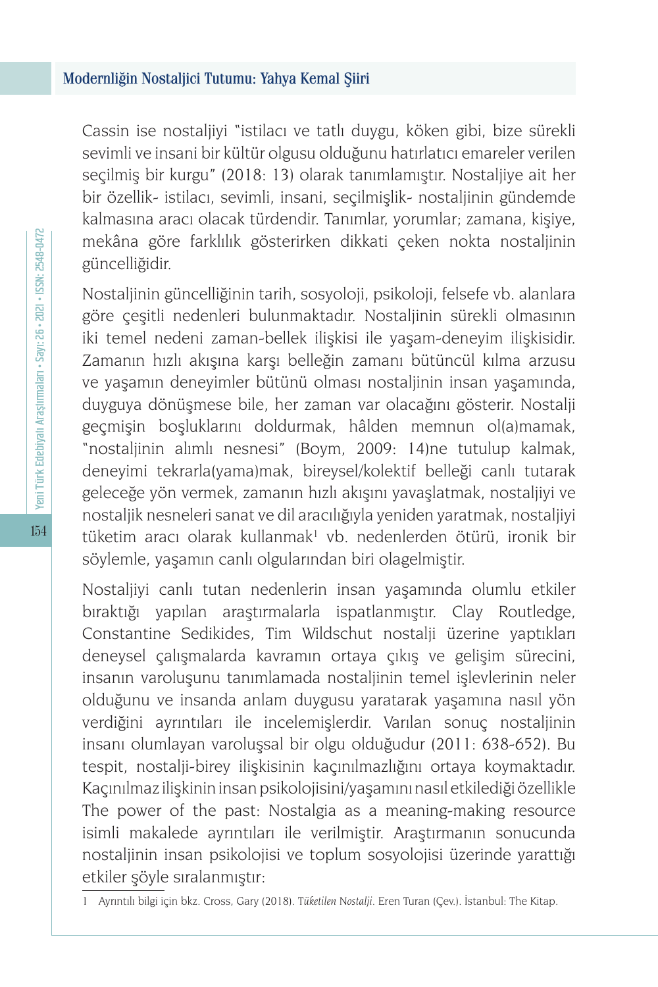Cassin ise nostaljiyi "istilacı ve tatlı duygu, köken gibi, bize sürekli sevimli ve insani bir kültür olgusu olduğunu hatırlatıcı emareler verilen seçilmiş bir kurgu" (2018: 13) olarak tanımlamıştır. Nostaljiye ait her bir özellik- istilacı, sevimli, insani, seçilmişlik- nostaljinin gündemde kalmasına aracı olacak türdendir. Tanımlar, yorumlar; zamana, kişiye, mekâna göre farklılık gösterirken dikkati çeken nokta nostaljinin güncelliğidir.

Nostaljinin güncelliğinin tarih, sosyoloji, psikoloji, felsefe vb. alanlara göre çeşitli nedenleri bulunmaktadır. Nostaljinin sürekli olmasının iki temel nedeni zaman-bellek ilişkisi ile yaşam-deneyim ilişkisidir. Zamanın hızlı akışına karşı belleğin zamanı bütüncül kılma arzusu ve yaşamın deneyimler bütünü olması nostaljinin insan yaşamında, duyguya dönüşmese bile, her zaman var olacağını gösterir. Nostalji geçmişin boşluklarını doldurmak, hâlden memnun ol(a)mamak, "nostaljinin alımlı nesnesi" (Boym, 2009: 14)ne tutulup kalmak, deneyimi tekrarla(yama)mak, bireysel/kolektif belleği canlı tutarak geleceğe yön vermek, zamanın hızlı akışını yavaşlatmak, nostaljiyi ve nostaljik nesneleri sanat ve dil aracılığıyla yeniden yaratmak, nostaljiyi tüketim aracı olarak kullanmak<sup>ı</sup> vb. nedenlerden ötürü, ironik bir söylemle, yaşamın canlı olgularından biri olagelmiştir.

Nostaljiyi canlı tutan nedenlerin insan yaşamında olumlu etkiler bıraktığı yapılan araştırmalarla ispatlanmıştır. Clay Routledge, Constantine Sedikides, Tim Wildschut nostalji üzerine yaptıkları deneysel çalışmalarda kavramın ortaya çıkış ve gelişim sürecini, insanın varoluşunu tanımlamada nostaljinin temel işlevlerinin neler olduğunu ve insanda anlam duygusu yaratarak yaşamına nasıl yön verdiğini ayrıntıları ile incelemişlerdir. Varılan sonuç nostaljinin insanı olumlayan varoluşsal bir olgu olduğudur (2011: 638-652). Bu tespit, nostalji-birey ilişkisinin kaçınılmazlığını ortaya koymaktadır. Kaçınılmaz ilişkinin insan psikolojisini/yaşamını nasıl etkilediği özellikle The power of the past: Nostalgia as a meaning-making resource isimli makalede ayrıntıları ile verilmiştir. Araştırmanın sonucunda nostaljinin insan psikolojisi ve toplum sosyolojisi üzerinde yarattığı etkiler şöyle sıralanmıştır:

<sup>1</sup> Ayrıntılı bilgi için bkz. Cross, Gary (2018). *Tüketilen Nostalji*. Eren Turan (Çev.). İstanbul: The Kitap.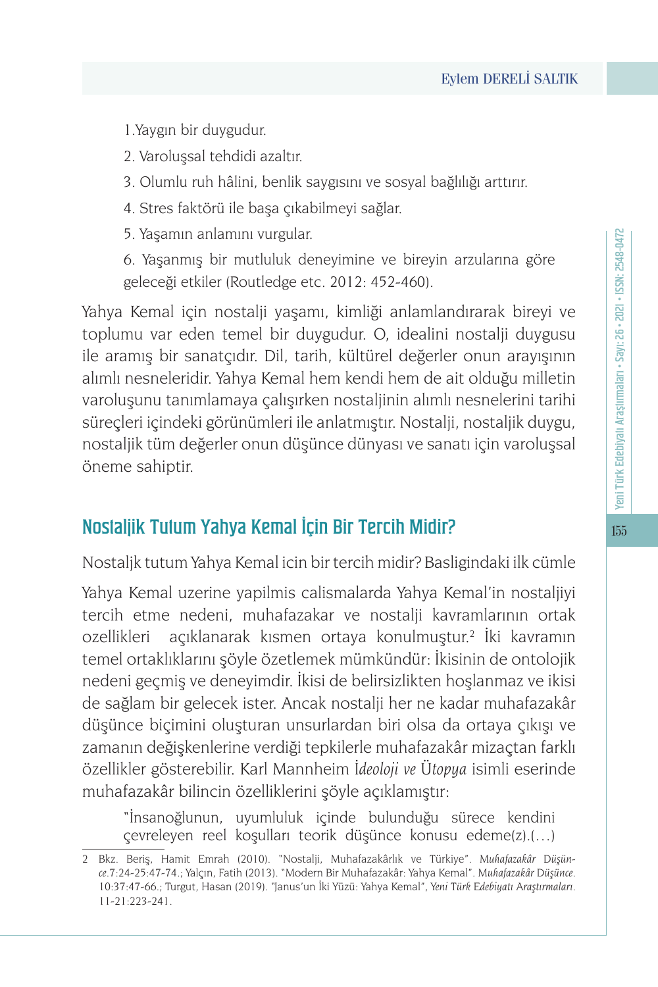1.Yaygın bir duygudur.

2. Varoluşsal tehdidi azaltır.

3. Olumlu ruh hâlini, benlik saygısını ve sosyal bağlılığı arttırır.

4. Stres faktörü ile başa çıkabilmeyi sağlar.

5. Yaşamın anlamını vurgular.

6. Yaşanmış bir mutluluk deneyimine ve bireyin arzularına göre geleceği etkiler (Routledge etc. 2012: 452-460).

Yahya Kemal için nostalji yaşamı, kimliği anlamlandırarak bireyi ve toplumu var eden temel bir duygudur. O, idealini nostalji duygusu ile aramış bir sanatçıdır. Dil, tarih, kültürel değerler onun arayışının alımlı nesneleridir. Yahya Kemal hem kendi hem de ait olduğu milletin varoluşunu tanımlamaya çalışırken nostaljinin alımlı nesnelerini tarihi süreçleri içindeki görünümleri ile anlatmıştır. Nostalji, nostaljik duygu, nostaljik tüm değerler onun düşünce dünyası ve sanatı için varoluşsal öneme sahiptir.

## Nostaljik Tutum Yahya Kemal İçin Bir Tercih Midir?

Nostaljk tutum Yahya Kemal icin bir tercih midir? Basligindaki ilk cümle

Yahya Kemal uzerine yapilmis calismalarda Yahya Kemal'in nostaljiyi tercih etme nedeni, muhafazakar ve nostalji kavramlarının ortak ozellikleri açıklanarak kısmen ortaya konulmuştur.<sup>2</sup> İki kavramın temel ortaklıklarını şöyle özetlemek mümkündür: İkisinin de ontolojik nedeni geçmiş ve deneyimdir. İkisi de belirsizlikten hoşlanmaz ve ikisi de sağlam bir gelecek ister. Ancak nostalji her ne kadar muhafazakâr düşünce biçimini oluşturan unsurlardan biri olsa da ortaya çıkışı ve zamanın değişkenlerine verdiği tepkilerle muhafazakâr mizaçtan farklı özellikler gösterebilir. Karl Mannheim *İdeoloji ve Ütopya* isimli eserinde muhafazakâr bilincin özelliklerini şöyle açıklamıştır:

"İnsanoğlunun, uyumluluk içinde bulunduğu sürece kendini çevreleyen reel koşulları teorik düşünce konusu edeme(z).(…)

155

<sup>2</sup> Bkz. Beriş, Hamit Emrah (2010). "Nostalji, Muhafazakârlık ve Türkiye". *Muhafazakâr Düşünce*.7:24-25:47-74.; Yalçın, Fatih (2013). "Modern Bir Muhafazakâr: Yahya Kemal". *Muhafazakâr Düşünce*. 10:37:47-66.; Turgut, Hasan (2019). "Janus'un İki Yüzü: Yahya Kemal", *Yeni Türk Edebiyatı Araştırmaları*. 11-21:223-241.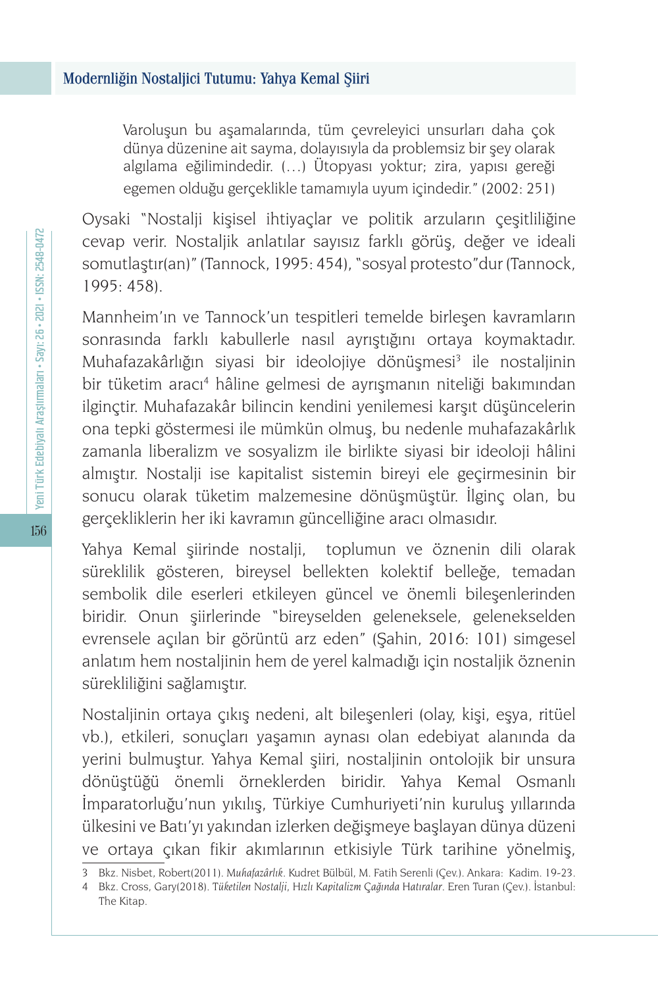Varoluşun bu aşamalarında, tüm çevreleyici unsurları daha çok dünya düzenine ait sayma, dolayısıyla da problemsiz bir şey olarak algılama eğilimindedir. (…) Ütopyası yoktur; zira, yapısı gereği egemen olduğu gerçeklikle tamamıyla uyum içindedir." (2002: 251)

Oysaki "Nostalji kişisel ihtiyaçlar ve politik arzuların çeşitliliğine cevap verir. Nostaljik anlatılar sayısız farklı görüş, değer ve ideali somutlaştır(an)" (Tannock, 1995: 454), "sosyal protesto"dur (Tannock, 1995: 458).

Mannheim'ın ve Tannock'un tespitleri temelde birleşen kavramların sonrasında farklı kabullerle nasıl ayrıştığını ortaya koymaktadır. Muhafazakârlığın siyasi bir ideolojiye dönüşmesi<sup>3</sup> ile nostaljinin bir tüketim aracı4 hâline gelmesi de ayrışmanın niteliği bakımından ilginçtir. Muhafazakâr bilincin kendini yenilemesi karşıt düşüncelerin ona tepki göstermesi ile mümkün olmuş, bu nedenle muhafazakârlık zamanla liberalizm ve sosyalizm ile birlikte siyasi bir ideoloji hâlini almıştır. Nostalji ise kapitalist sistemin bireyi ele geçirmesinin bir sonucu olarak tüketim malzemesine dönüşmüştür. İlginç olan, bu gerçekliklerin her iki kavramın güncelliğine aracı olmasıdır.

Yahya Kemal şiirinde nostalji, toplumun ve öznenin dili olarak süreklilik gösteren, bireysel bellekten kolektif belleğe, temadan sembolik dile eserleri etkileyen güncel ve önemli bileşenlerinden biridir. Onun şiirlerinde "bireyselden geleneksele, gelenekselden evrensele açılan bir görüntü arz eden" (Şahin, 2016: 101) simgesel anlatım hem nostaljinin hem de yerel kalmadığı için nostaljik öznenin sürekliliğini sağlamıştır.

Nostaljinin ortaya çıkış nedeni, alt bileşenleri (olay, kişi, eşya, ritüel vb.), etkileri, sonuçları yaşamın aynası olan edebiyat alanında da yerini bulmuştur. Yahya Kemal şiiri, nostaljinin ontolojik bir unsura dönüştüğü önemli örneklerden biridir. Yahya Kemal Osmanlı İmparatorluğu'nun yıkılış, Türkiye Cumhuriyeti'nin kuruluş yıllarında ülkesini ve Batı'yı yakından izlerken değişmeye başlayan dünya düzeni ve ortaya çıkan fikir akımlarının etkisiyle Türk tarihine yönelmiş,

<sup>3</sup> Bkz. Nisbet, Robert(2011). *Muhafazârlık*. Kudret Bülbül, M. Fatih Serenli (Çev.). Ankara: Kadim. 19-23.

<sup>4</sup> Bkz. Cross, Gary(2018). *Tüketilen Nostalji, Hızlı Kapitalizm Çağında Hatıralar*. Eren Turan (Çev.). İstanbul: The Kitap.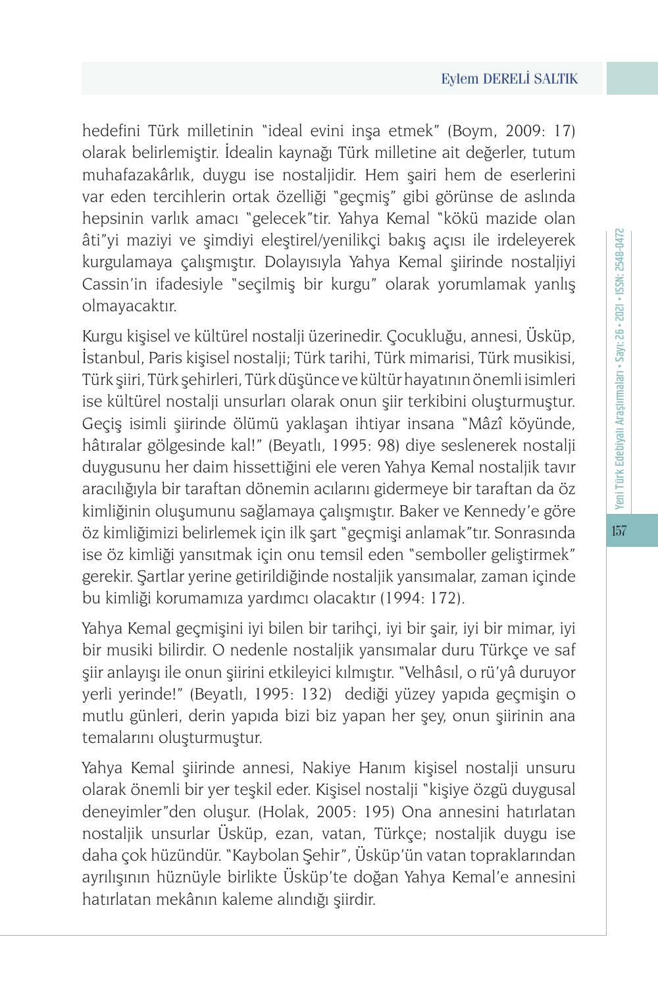hedefini Türk milletinin "ideal evini inşa etmek" (Boym, 2009: 17) olarak belirlemiştir. İdealin kaynağı Türk milletine ait değerler, tutum muhafazakârlık, duygu ise nostaljidir. Hem şairi hem de eserlerini var eden tercihlerin ortak özelliği "geçmiş" gibi görünse de aslında hepsinin varlık amacı "gelecek"tir. Yahya Kemal "kökü mazide olan âti"yi maziyi ve şimdiyi eleştirel/yenilikçi bakış açısı ile irdeleyerek kurgulamaya çalışmıştır. Dolayısıyla Yahya Kemal şiirinde nostaljiyi Cassin'in ifadesiyle "seçilmiş bir kurgu" olarak yorumlamak yanlış olmayacaktır.

Kurgu kişisel ve kültürel nostalji üzerinedir. Çocukluğu, annesi, Üsküp, İstanbul, Paris kişisel nostalji; Türk tarihi, Türk mimarisi, Türk musikisi, Türk şiiri, Türk şehirleri, Türk düşünce ve kültür hayatının önemli isimleri ise kültürel nostalji unsurları olarak onun şiir terkibini oluşturmuştur. Geçiş isimli şiirinde ölümü yaklaşan ihtiyar insana "Mâzî köyünde, hâtıralar gölgesinde kal!" (Beyatlı, 1995: 98) diye seslenerek nostalji duygusunu her daim hissettiğini ele veren Yahya Kemal nostaljik tavır aracılığıyla bir taraftan dönemin acılarını gidermeye bir taraftan da öz kimliğinin oluşumunu sağlamaya çalışmıştır. Baker ve Kennedy'e göre öz kimliğimizi belirlemek için ilk şart "geçmişi anlamak"tır. Sonrasında ise öz kimliği yansıtmak için onu temsil eden "semboller geliştirmek" gerekir. Şartlar yerine getirildiğinde nostaljik yansımalar, zaman içinde bu kimliği korumamıza yardımcı olacaktır (1994: 172).

Yahya Kemal geçmişini iyi bilen bir tarihçi, iyi bir şair, iyi bir mimar, iyi bir musiki bilirdir. O nedenle nostaljik yansımalar duru Türkçe ve saf şiir anlayışı ile onun şiirini etkileyici kılmıştır. "Velhâsıl, o rü'yâ duruyor yerli yerinde!" (Beyatlı, 1995: 132) dediği yüzey yapıda geçmişin o mutlu günleri, derin yapıda bizi biz yapan her şey, onun şiirinin ana temalarını oluşturmuştur.

Yahya Kemal şiirinde annesi, Nakiye Hanım kişisel nostalji unsuru olarak önemli bir yer teşkil eder. Kişisel nostalji "kişiye özgü duygusal deneyimler"den oluşur. (Holak, 2005: 195) Ona annesini hatırlatan nostaljik unsurlar Üsküp, ezan, vatan, Türkçe; nostaljik duygu ise daha çok hüzündür. "Kaybolan Şehir", Üsküp'ün vatan topraklarından ayrılışının hüznüyle birlikte Üsküp'te doğan Yahya Kemal'e annesini hatırlatan mekânın kaleme alındığı şiirdir.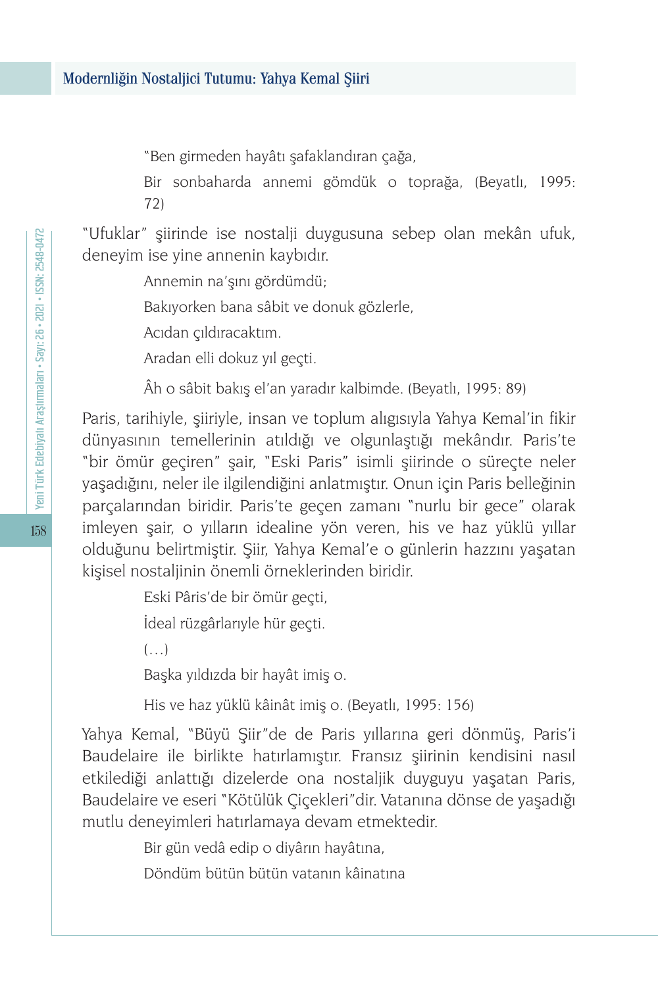"Ben girmeden hayâtı şafaklandıran çağa,

Bir sonbaharda annemi gömdük o toprağa, (Beyatlı, 1995: 72)

"Ufuklar" şiirinde ise nostalji duygusuna sebep olan mekân ufuk, deneyim ise yine annenin kaybıdır.

Annemin na'şını gördümdü;

Bakıyorken bana sâbit ve donuk gözlerle,

Acıdan çıldıracaktım.

Aradan elli dokuz yıl geçti.

Âh o sâbit bakış el'an yaradır kalbimde. (Beyatlı, 1995: 89)

Paris, tarihiyle, şiiriyle, insan ve toplum alıgısıyla Yahya Kemal'in fikir dünyasının temellerinin atıldığı ve olgunlaştığı mekândır. Paris'te "bir ömür geçiren" şair, "Eski Paris" isimli şiirinde o süreçte neler yaşadığını, neler ile ilgilendiğini anlatmıştır. Onun için Paris belleğinin parçalarından biridir. Paris'te geçen zamanı "nurlu bir gece" olarak imleyen şair, o yılların idealine yön veren, his ve haz yüklü yıllar olduğunu belirtmiştir. Şiir, Yahya Kemal'e o günlerin hazzını yaşatan kişisel nostaljinin önemli örneklerinden biridir.

Eski Pâris'de bir ömür geçti,

İdeal rüzgârlarıyle hür geçti.

 $(\ldots)$ 

Başka yıldızda bir hayât imiş o.

His ve haz yüklü kâinât imiş o. (Beyatlı, 1995: 156)

Yahya Kemal, "Büyü Şiir"de de Paris yıllarına geri dönmüş, Paris'i Baudelaire ile birlikte hatırlamıştır. Fransız şiirinin kendisini nasıl etkilediği anlattığı dizelerde ona nostaljik duyguyu yaşatan Paris, Baudelaire ve eseri "Kötülük Çiçekleri"dir. Vatanına dönse de yaşadığı mutlu deneyimleri hatırlamaya devam etmektedir.

Bir gün vedâ edip o diyârın hayâtına,

Döndüm bütün bütün vatanın kâinatına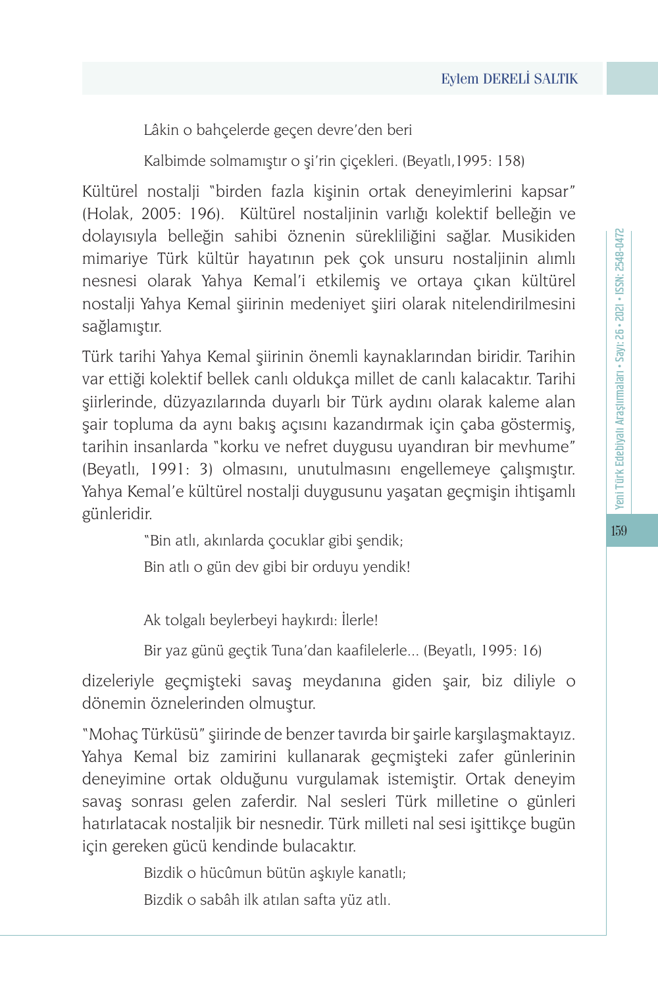Lâkin o bahçelerde geçen devre'den beri

Kalbimde solmamıştır o şi'rin çiçekleri. (Beyatlı,1995: 158)

Kültürel nostalji "birden fazla kişinin ortak deneyimlerini kapsar" (Holak, 2005: 196). Kültürel nostaljinin varlığı kolektif belleğin ve dolayısıyla belleğin sahibi öznenin sürekliliğini sağlar. Musikiden mimariye Türk kültür hayatının pek çok unsuru nostaljinin alımlı nesnesi olarak Yahya Kemal'i etkilemiş ve ortaya çıkan kültürel nostalji Yahya Kemal şiirinin medeniyet şiiri olarak nitelendirilmesini sağlamıştır.

Türk tarihi Yahya Kemal şiirinin önemli kaynaklarından biridir. Tarihin var ettiği kolektif bellek canlı oldukça millet de canlı kalacaktır. Tarihi şiirlerinde, düzyazılarında duyarlı bir Türk aydını olarak kaleme alan şair topluma da aynı bakış açısını kazandırmak için çaba göstermiş, tarihin insanlarda "korku ve nefret duygusu uyandıran bir mevhume" (Beyatlı, 1991: 3) olmasını, unutulmasını engellemeye çalışmıştır. Yahya Kemal'e kültürel nostalji duygusunu yaşatan geçmişin ihtişamlı günleridir.

"Bin atlı, akınlarda çocuklar gibi şendik;

Bin atlı o gün dev gibi bir orduyu yendik!

Ak tolgalı beylerbeyi haykırdı: İlerle!

Bir yaz günü geçtik Tuna'dan kaafilelerle... (Beyatlı, 1995: 16)

dizeleriyle geçmişteki savaş meydanına giden şair, biz diliyle o dönemin öznelerinden olmuştur.

"Mohaç Türküsü" şiirinde de benzer tavırda bir şairle karşılaşmaktayız. Yahya Kemal biz zamirini kullanarak geçmişteki zafer günlerinin deneyimine ortak olduğunu vurgulamak istemiştir. Ortak deneyim savaş sonrası gelen zaferdir. Nal sesleri Türk milletine o günleri hatırlatacak nostaljik bir nesnedir. Türk milleti nal sesi işittikçe bugün için gereken gücü kendinde bulacaktır.

Bizdik o hücûmun bütün aşkıyle kanatlı;

Bizdik o sabâh ilk atılan safta yüz atlı.

159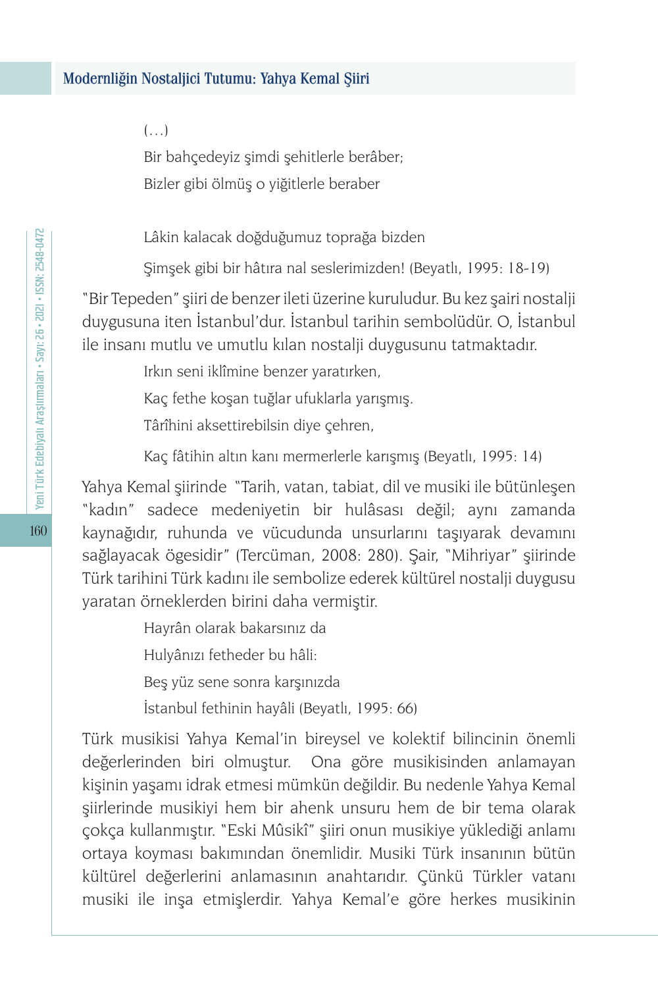#### $(\ldots)$

Bir bahçedeyiz şimdi şehitlerle berâber; Bizler gibi ölmüş o yiğitlerle beraber

Lâkin kalacak doğduğumuz toprağa bizden

Şimşek gibi bir hâtıra nal seslerimizden! (Beyatlı, 1995: 18-19)

"Bir Tepeden" şiiri de benzer ileti üzerine kuruludur. Bu kez şairi nostalji duygusuna iten İstanbul'dur. İstanbul tarihin sembolüdür. O, İstanbul ile insanı mutlu ve umutlu kılan nostalji duygusunu tatmaktadır.

Irkın seni iklîmine benzer yaratırken,

Kaç fethe koşan tuğlar ufuklarla yarışmış.

Târîhini aksettirebilsin diye çehren,

Kaç fâtihin altın kanı mermerlerle karışmış (Beyatlı, 1995: 14)

Yahya Kemal şiirinde "Tarih, vatan, tabiat, dil ve musiki ile bütünleşen "kadın" sadece medeniyetin bir hulâsası değil; aynı zamanda kaynağıdır, ruhunda ve vücudunda unsurlarını taşıyarak devamını sağlayacak ögesidir" (Tercüman, 2008: 280). Şair, "Mihriyar" şiirinde Türk tarihini Türk kadını ile sembolize ederek kültürel nostalji duygusu yaratan örneklerden birini daha vermiştir.

> Hayrân olarak bakarsınız da Hulyânızı fetheder bu hâli: Beş yüz sene sonra karşınızda İstanbul fethinin hayâli (Beyatlı, 1995: 66)

Türk musikisi Yahya Kemal'in bireysel ve kolektif bilincinin önemli değerlerinden biri olmuştur. Ona göre musikisinden anlamayan kişinin yaşamı idrak etmesi mümkün değildir. Bu nedenle Yahya Kemal şiirlerinde musikiyi hem bir ahenk unsuru hem de bir tema olarak çokça kullanmıştır. "Eski Mûsikî" şiiri onun musikiye yüklediği anlamı ortaya koyması bakımından önemlidir. Musiki Türk insanının bütün kültürel değerlerini anlamasının anahtarıdır. Çünkü Türkler vatanı musiki ile inşa etmişlerdir. Yahya Kemal'e göre herkes musikinin

160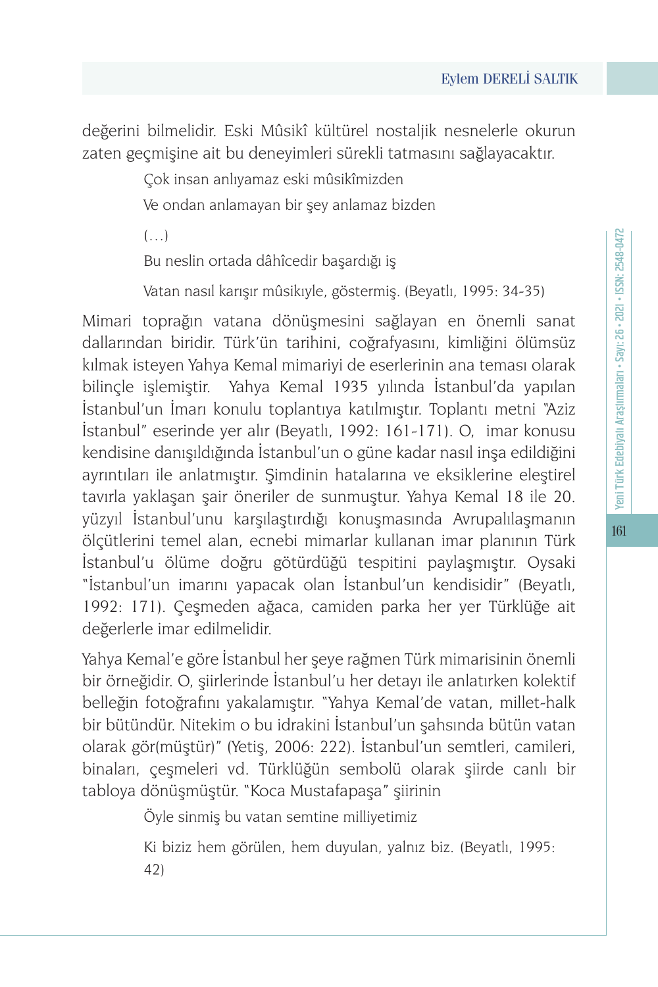değerini bilmelidir. Eski Mûsikî kültürel nostaljik nesnelerle okurun zaten geçmişine ait bu deneyimleri sürekli tatmasını sağlayacaktır.

> Çok insan anlıyamaz eski mûsikîmizden Ve ondan anlamayan bir şey anlamaz bizden

 $(\ldots)$ 

Bu neslin ortada dâhîcedir başardığı iş

Vatan nasıl karışır mûsikıyle, göstermiş. (Beyatlı, 1995: 34-35)

Mimari toprağın vatana dönüşmesini sağlayan en önemli sanat dallarından biridir. Türk'ün tarihini, coğrafyasını, kimliğini ölümsüz kılmak isteyen Yahya Kemal mimariyi de eserlerinin ana teması olarak bilinçle işlemiştir. Yahya Kemal 1935 yılında İstanbul'da yapılan İstanbul'un İmarı konulu toplantıya katılmıştır. Toplantı metni "Aziz İstanbul" eserinde yer alır (Beyatlı, 1992: 161-171). O, imar konusu kendisine danışıldığında İstanbul'un o güne kadar nasıl inşa edildiğini ayrıntıları ile anlatmıştır. Şimdinin hatalarına ve eksiklerine eleştirel tavırla yaklaşan şair öneriler de sunmuştur. Yahya Kemal 18 ile 20. yüzyıl İstanbul'unu karşılaştırdığı konuşmasında Avrupalılaşmanın ölçütlerini temel alan, ecnebi mimarlar kullanan imar planının Türk İstanbul'u ölüme doğru götürdüğü tespitini paylaşmıştır. Oysaki "İstanbul'un imarını yapacak olan İstanbul'un kendisidir" (Beyatlı, 1992: 171). Çeşmeden ağaca, camiden parka her yer Türklüğe ait değerlerle imar edilmelidir.

Yahya Kemal'e göre İstanbul her şeye rağmen Türk mimarisinin önemli bir örneğidir. O, şiirlerinde İstanbul'u her detayı ile anlatırken kolektif belleğin fotoğrafını yakalamıştır. "Yahya Kemal'de vatan, millet-halk bir bütündür. Nitekim o bu idrakini İstanbul'un şahsında bütün vatan olarak gör(müştür)" (Yetiş, 2006: 222). İstanbul'un semtleri, camileri, binaları, çeşmeleri vd. Türklüğün sembolü olarak şiirde canlı bir tabloya dönüşmüştür. "Koca Mustafapaşa" şiirinin

Öyle sinmiş bu vatan semtine milliyetimiz

Ki biziz hem görülen, hem duyulan, yalnız biz. (Beyatlı, 1995: 42)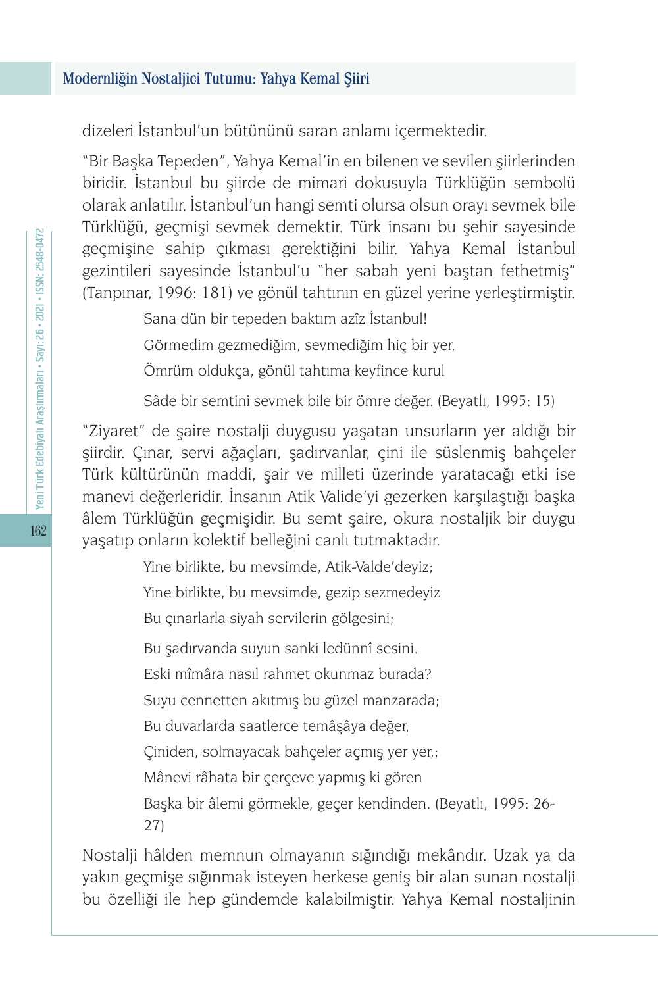dizeleri İstanbul'un bütününü saran anlamı içermektedir.

"Bir Başka Tepeden", Yahya Kemal'in en bilenen ve sevilen şiirlerinden biridir. İstanbul bu şiirde de mimari dokusuyla Türklüğün sembolü olarak anlatılır. İstanbul'un hangi semti olursa olsun orayı sevmek bile Türklüğü, geçmişi sevmek demektir. Türk insanı bu şehir sayesinde geçmişine sahip çıkması gerektiğini bilir. Yahya Kemal İstanbul gezintileri sayesinde İstanbul'u "her sabah yeni baştan fethetmiş" (Tanpınar, 1996: 181) ve gönül tahtının en güzel yerine yerleştirmiştir.

Sana dün bir tepeden baktım azîz İstanbul!

Görmedim gezmediğim, sevmediğim hiç bir yer.

Ömrüm oldukça, gönül tahtıma keyfince kurul

Sâde bir semtini sevmek bile bir ömre değer. (Beyatlı, 1995: 15)

"Ziyaret" de şaire nostalji duygusu yaşatan unsurların yer aldığı bir şiirdir. Çınar, servi ağaçları, şadırvanlar, çini ile süslenmiş bahçeler Türk kültürünün maddi, şair ve milleti üzerinde yaratacağı etki ise manevi değerleridir. İnsanın Atik Valide'yi gezerken karşılaştığı başka âlem Türklüğün geçmişidir. Bu semt şaire, okura nostaljik bir duygu yaşatıp onların kolektif belleğini canlı tutmaktadır.

> Yine birlikte, bu mevsimde, Atik-Valde'deyiz; Yine birlikte, bu mevsimde, gezip sezmedeyiz Bu çınarlarla siyah servilerin gölgesini; Bu şadırvanda suyun sanki ledünnî sesini. Eski mîmâra nasıl rahmet okunmaz burada? Suyu cennetten akıtmış bu güzel manzarada; Bu duvarlarda saatlerce temâşâya değer, Çiniden, solmayacak bahçeler açmış yer yer,; Mânevi râhata bir çerçeve yapmış ki gören Başka bir âlemi görmekle, geçer kendinden. (Beyatlı, 1995: 26- 27)

Nostalji hâlden memnun olmayanın sığındığı mekândır. Uzak ya da yakın geçmişe sığınmak isteyen herkese geniş bir alan sunan nostalji bu özelliği ile hep gündemde kalabilmiştir. Yahya Kemal nostaljinin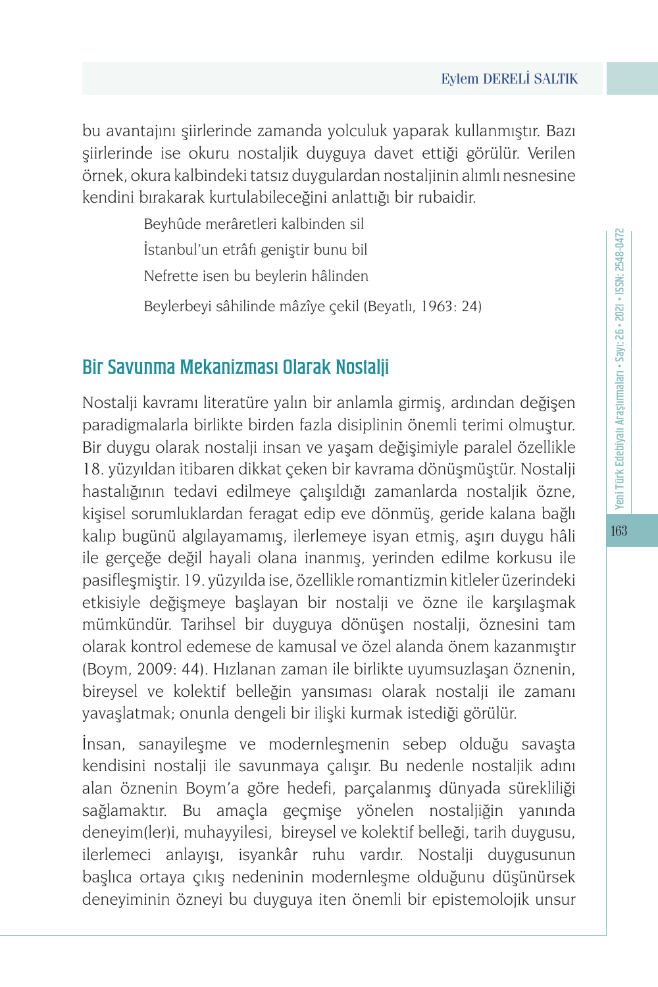bu avantajını şiirlerinde zamanda yolculuk yaparak kullanmıştır. Bazı şiirlerinde ise okuru nostaljik duyguya davet ettiği görülür. Verilen örnek, okura kalbindeki tatsız duygulardan nostaljinin alımlı nesnesine kendini bırakarak kurtulabileceğini anlattığı bir rubaidir.

> Beyhûde merâretleri kalbinden sil İstanbul'un etrâfı geniştir bunu bil

> Nefrette isen bu beylerin hâlinden

Beylerbeyi sâhilinde mâzîye çekil (Beyatlı, 1963: 24)

## Bir Savunma Mekanizması Olarak Nostalji

Nostalji kavramı literatüre yalın bir anlamla girmiş, ardından değişen paradigmalarla birlikte birden fazla disiplinin önemli terimi olmuştur. Bir duygu olarak nostalji insan ve yaşam değişimiyle paralel özellikle 18. yüzyıldan itibaren dikkat çeken bir kavrama dönüşmüştür. Nostalji hastalığının tedavi edilmeye çalışıldığı zamanlarda nostaljik özne, kişisel sorumluklardan feragat edip eve dönmüş, geride kalana bağlı kalıp bugünü algılayamamış, ilerlemeye isyan etmiş, aşırı duygu hâli ile gerçeğe değil hayali olana inanmış, yerinden edilme korkusu ile pasifleşmiştir. 19. yüzyılda ise, özellikle romantizmin kitleler üzerindeki etkisiyle değişmeye başlayan bir nostalji ve özne ile karşılaşmak mümkündür. Tarihsel bir duyguya dönüşen nostalji, öznesini tam olarak kontrol edemese de kamusal ve özel alanda önem kazanmıştır (Boym, 2009: 44). Hızlanan zaman ile birlikte uyumsuzlaşan öznenin, bireysel ve kolektif belleğin yansıması olarak nostalji ile zamanı yavaşlatmak; onunla dengeli bir ilişki kurmak istediği görülür.

İnsan, sanayileşme ve modernleşmenin sebep olduğu savaşta kendisini nostalji ile savunmaya çalışır. Bu nedenle nostaljik adını alan öznenin Boym'a göre hedefi, parçalanmış dünyada sürekliliği sağlamaktır. Bu amaçla geçmişe yönelen nostaljiğin yanında deneyim(ler)i, muhayyilesi, bireysel ve kolektif belleği, tarih duygusu, ilerlemeci anlayışı, isyankâr ruhu vardır. Nostalji duygusunun başlıca ortaya çıkış nedeninin modernleşme olduğunu düşünürsek deneyiminin özneyi bu duyguya iten önemli bir epistemolojik unsur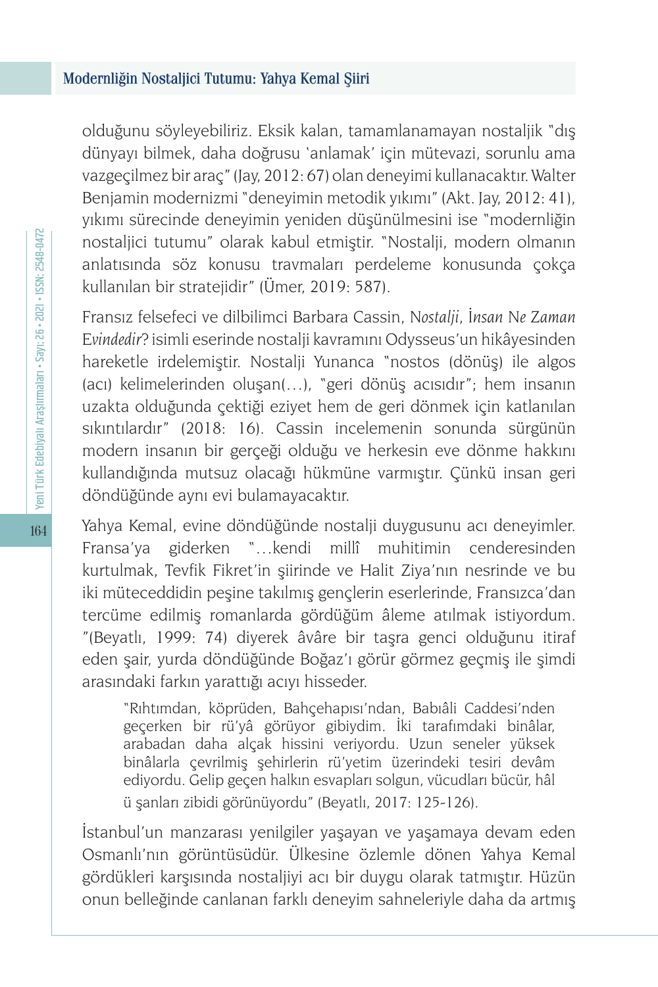olduğunu söyleyebiliriz. Eksik kalan, tamamlanamayan nostaljik "dış dünyayı bilmek, daha doğrusu 'anlamak' için mütevazi, sorunlu ama vazgeçilmez bir araç" (Jay, 2012: 67) olan deneyimi kullanacaktır. Walter Benjamin modernizmi "deneyimin metodik yıkımı" (Akt. Jay, 2012: 41), yıkımı sürecinde deneyimin yeniden düşünülmesini ise "modernliğin nostaljici tutumu" olarak kabul etmiştir. "Nostalji, modern olmanın anlatısında söz konusu travmaları perdeleme konusunda çokça kullanılan bir stratejidir" (Ümer, 2019: 587).

Fransız felsefeci ve dilbilimci Barbara Cassin, *Nostalji, İnsan Ne Zaman Evindedir?* isimli eserinde nostalji kavramını Odysseus'un hikâyesinden hareketle irdelemiştir. Nostalji Yunanca "nostos (dönüş) ile algos (acı) kelimelerinden oluşan(…), "geri dönüş acısıdır"; hem insanın uzakta olduğunda çektiği eziyet hem de geri dönmek için katlanılan sıkıntılardır" (2018: 16). Cassin incelemenin sonunda sürgünün modern insanın bir gerçeği olduğu ve herkesin eve dönme hakkını kullandığında mutsuz olacağı hükmüne varmıştır. Çünkü insan geri döndüğünde aynı evi bulamayacaktır.

Yahya Kemal, evine döndüğünde nostalji duygusunu acı deneyimler. Fransa'ya giderken "…kendi millî muhitimin cenderesinden kurtulmak, Tevfik Fikret'in şiirinde ve Halit Ziya'nın nesrinde ve bu iki müteceddidin peşine takılmış gençlerin eserlerinde, Fransızca'dan tercüme edilmiş romanlarda gördüğüm âleme atılmak istiyordum. "(Beyatlı, 1999: 74) diyerek âvâre bir taşra genci olduğunu itiraf eden şair, yurda döndüğünde Boğaz'ı görür görmez geçmiş ile şimdi arasındaki farkın yarattığı acıyı hisseder.

"Rıhtımdan, köprüden, Bahçehapısı'ndan, Babıâli Caddesi'nden geçerken bir rü'yâ görüyor gibiydim. İki tarafımdaki binâlar, arabadan daha alçak hissini veriyordu. Uzun seneler yüksek binâlarla çevrilmiş şehirlerin rü'yetim üzerindeki tesiri devâm ediyordu. Gelip geçen halkın esvapları solgun, vücudları bücür, hâl ü şanları zibidi görünüyordu" (Beyatlı, 2017: 125-126).

İstanbul'un manzarası yenilgiler yaşayan ve yaşamaya devam eden Osmanlı'nın görüntüsüdür. Ülkesine özlemle dönen Yahya Kemal gördükleri karşısında nostaljiyi acı bir duygu olarak tatmıştır. Hüzün onun belleğinde canlanan farklı deneyim sahneleriyle daha da artmış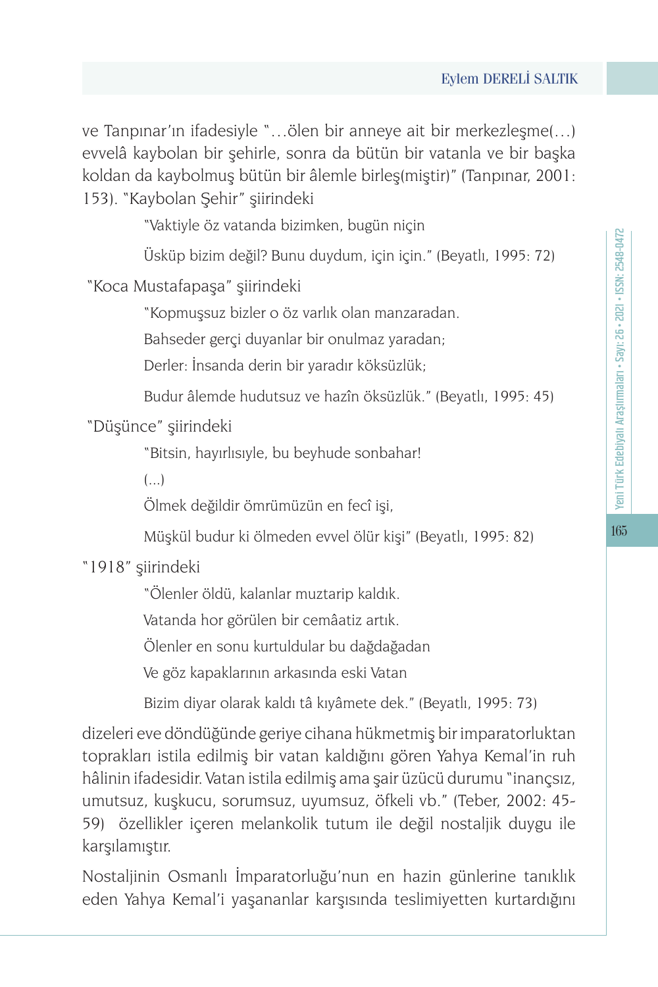ve Tanpınar'ın ifadesiyle "…ölen bir anneye ait bir merkezleşme(…) evvelâ kaybolan bir şehirle, sonra da bütün bir vatanla ve bir başka koldan da kaybolmuş bütün bir âlemle birleş(miştir)" (Tanpınar, 2001: 153). "Kaybolan Şehir" şiirindeki

"Vaktiyle öz vatanda bizimken, bugün niçin

Üsküp bizim değil? Bunu duydum, için için." (Beyatlı, 1995: 72)

"Koca Mustafapaşa" şiirindeki

"Kopmuşsuz bizler o öz varlık olan manzaradan.

Bahseder gerçi duyanlar bir onulmaz yaradan;

Derler: İnsanda derin bir yaradır köksüzlük;

Budur âlemde hudutsuz ve hazîn öksüzlük." (Beyatlı, 1995: 45)

"Düşünce" şiirindeki

"Bitsin, hayırlısıyle, bu beyhude sonbahar!

(...)

Ölmek değildir ömrümüzün en fecî işi,

Müşkül budur ki ölmeden evvel ölür kişi" (Beyatlı, 1995: 82)

"1918" şiirindeki

"Ölenler öldü, kalanlar muztarip kaldık.

Vatanda hor görülen bir cemâatiz artık.

Ölenler en sonu kurtuldular bu dağdağadan

Ve göz kapaklarının arkasında eski Vatan

Bizim diyar olarak kaldı tâ kıyâmete dek." (Beyatlı, 1995: 73)

dizeleri eve döndüğünde geriye cihana hükmetmiş bir imparatorluktan toprakları istila edilmiş bir vatan kaldığını gören Yahya Kemal'in ruh hâlinin ifadesidir. Vatan istila edilmiş ama şair üzücü durumu "inançsız, umutsuz, kuşkucu, sorumsuz, uyumsuz, öfkeli vb." (Teber, 2002: 45- 59) özellikler içeren melankolik tutum ile değil nostaljik duygu ile karşılamıştır.

Nostaljinin Osmanlı İmparatorluğu'nun en hazin günlerine tanıklık eden Yahya Kemal'i yaşananlar karşısında teslimiyetten kurtardığını 165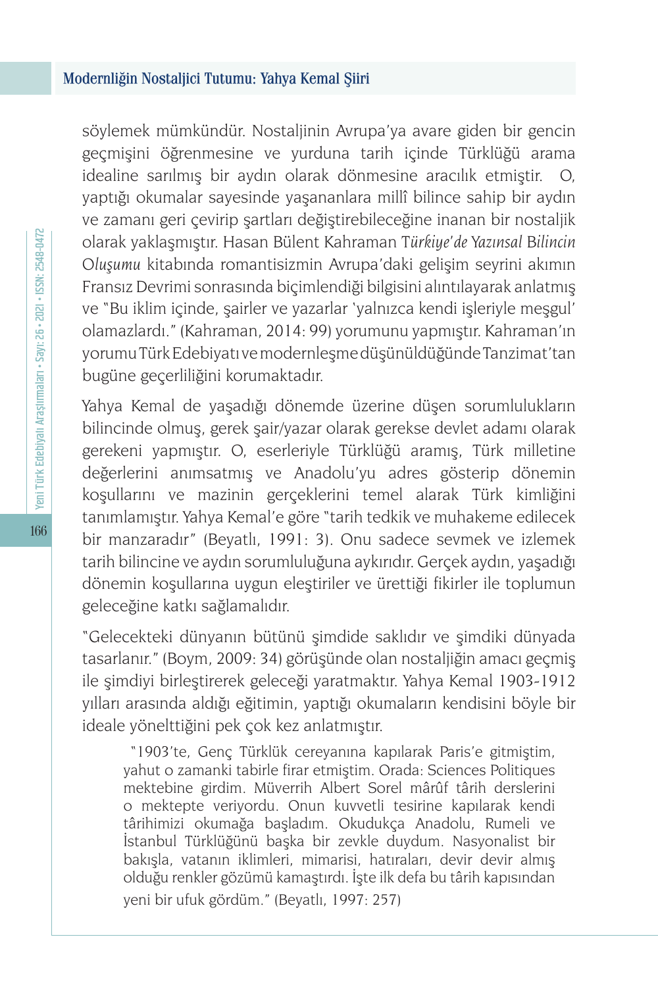söylemek mümkündür. Nostaljinin Avrupa'ya avare giden bir gencin geçmişini öğrenmesine ve yurduna tarih içinde Türklüğü arama idealine sarılmış bir aydın olarak dönmesine aracılık etmiştir. O, yaptığı okumalar sayesinde yaşananlara millî bilince sahip bir aydın ve zamanı geri çevirip şartları değiştirebileceğine inanan bir nostaljik olarak yaklaşmıştır. Hasan Bülent Kahraman T*ürkiye'de Yazınsal Bilincin Oluşumu* kitabında romantisizmin Avrupa'daki gelişim seyrini akımın Fransız Devrimi sonrasında biçimlendiği bilgisini alıntılayarak anlatmış ve "Bu iklim içinde, şairler ve yazarlar 'yalnızca kendi işleriyle meşgul' olamazlardı." (Kahraman, 2014: 99) yorumunu yapmıştır. Kahraman'ın yorumu Türk Edebiyatı ve modernleşme düşünüldüğünde Tanzimat'tan bugüne geçerliliğini korumaktadır.

Yahya Kemal de yaşadığı dönemde üzerine düşen sorumlulukların bilincinde olmuş, gerek şair/yazar olarak gerekse devlet adamı olarak gerekeni yapmıştır. O, eserleriyle Türklüğü aramış, Türk milletine değerlerini anımsatmış ve Anadolu'yu adres gösterip dönemin koşullarını ve mazinin gerçeklerini temel alarak Türk kimliğini tanımlamıştır. Yahya Kemal'e göre "tarih tedkik ve muhakeme edilecek bir manzaradır" (Beyatlı, 1991: 3). Onu sadece sevmek ve izlemek tarih bilincine ve aydın sorumluluğuna aykırıdır. Gerçek aydın, yaşadığı dönemin koşullarına uygun eleştiriler ve ürettiği fikirler ile toplumun geleceğine katkı sağlamalıdır.

"Gelecekteki dünyanın bütünü şimdide saklıdır ve şimdiki dünyada tasarlanır." (Boym, 2009: 34) görüşünde olan nostaljiğin amacı geçmiş ile şimdiyi birleştirerek geleceği yaratmaktır. Yahya Kemal 1903-1912 yılları arasında aldığı eğitimin, yaptığı okumaların kendisini böyle bir ideale yönelttiğini pek çok kez anlatmıştır.

 "1903'te, Genç Türklük cereyanına kapılarak Paris'e gitmiştim, yahut o zamanki tabirle firar etmiştim. Orada: Sciences Politiques mektebine girdim. Müverrih Albert Sorel mârûf târih derslerini o mektepte veriyordu. Onun kuvvetli tesirine kapılarak kendi târihimizi okumağa başladım. Okudukça Anadolu, Rumeli ve İstanbul Türklüğünü başka bir zevkle duydum. Nasyonalist bir bakışla, vatanın iklimleri, mimarisi, hatıraları, devir devir almış olduğu renkler gözümü kamaştırdı. İşte ilk defa bu târih kapısından yeni bir ufuk gördüm." (Beyatlı, 1997: 257)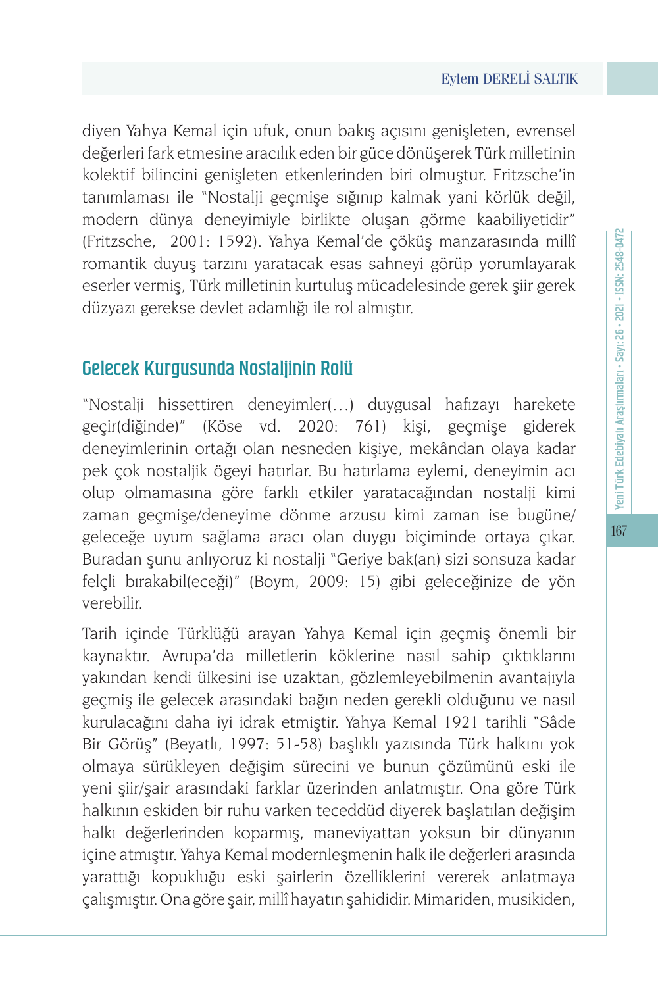diyen Yahya Kemal için ufuk, onun bakış açısını genişleten, evrensel değerleri fark etmesine aracılık eden bir güce dönüşerek Türk milletinin kolektif bilincini genişleten etkenlerinden biri olmuştur. Fritzsche'in tanımlaması ile "Nostalji geçmişe sığınıp kalmak yani körlük değil, modern dünya deneyimiyle birlikte oluşan görme kaabiliyetidir" (Fritzsche, 2001: 1592). Yahya Kemal'de çöküş manzarasında millî romantik duyuş tarzını yaratacak esas sahneyi görüp yorumlayarak eserler vermiş, Türk milletinin kurtuluş mücadelesinde gerek şiir gerek düzyazı gerekse devlet adamlığı ile rol almıştır.

## Gelecek Kurgusunda Nostaljinin Rolü

"Nostalji hissettiren deneyimler(…) duygusal hafızayı harekete geçir(diğinde)" (Köse vd. 2020: 761) kişi, geçmişe giderek deneyimlerinin ortağı olan nesneden kişiye, mekândan olaya kadar pek çok nostaljik ögeyi hatırlar. Bu hatırlama eylemi, deneyimin acı olup olmamasına göre farklı etkiler yaratacağından nostalji kimi zaman geçmişe/deneyime dönme arzusu kimi zaman ise bugüne/ geleceğe uyum sağlama aracı olan duygu biçiminde ortaya çıkar. Buradan şunu anlıyoruz ki nostalji "Geriye bak(an) sizi sonsuza kadar felçli bırakabil(eceği)" (Boym, 2009: 15) gibi geleceğinize de yön verebilir.

Tarih içinde Türklüğü arayan Yahya Kemal için geçmiş önemli bir kaynaktır. Avrupa'da milletlerin köklerine nasıl sahip çıktıklarını yakından kendi ülkesini ise uzaktan, gözlemleyebilmenin avantajıyla geçmiş ile gelecek arasındaki bağın neden gerekli olduğunu ve nasıl kurulacağını daha iyi idrak etmiştir. Yahya Kemal 1921 tarihli "Sâde Bir Görüş" (Beyatlı, 1997: 51-58) başlıklı yazısında Türk halkını yok olmaya sürükleyen değişim sürecini ve bunun çözümünü eski ile yeni şiir/şair arasındaki farklar üzerinden anlatmıştır. Ona göre Türk halkının eskiden bir ruhu varken teceddüd diyerek başlatılan değişim halkı değerlerinden koparmış, maneviyattan yoksun bir dünyanın içine atmıştır. Yahya Kemal modernleşmenin halk ile değerleri arasında yarattığı kopukluğu eski şairlerin özelliklerini vererek anlatmaya çalışmıştır. Ona göre şair, millî hayatın şahididir. Mimariden, musikiden,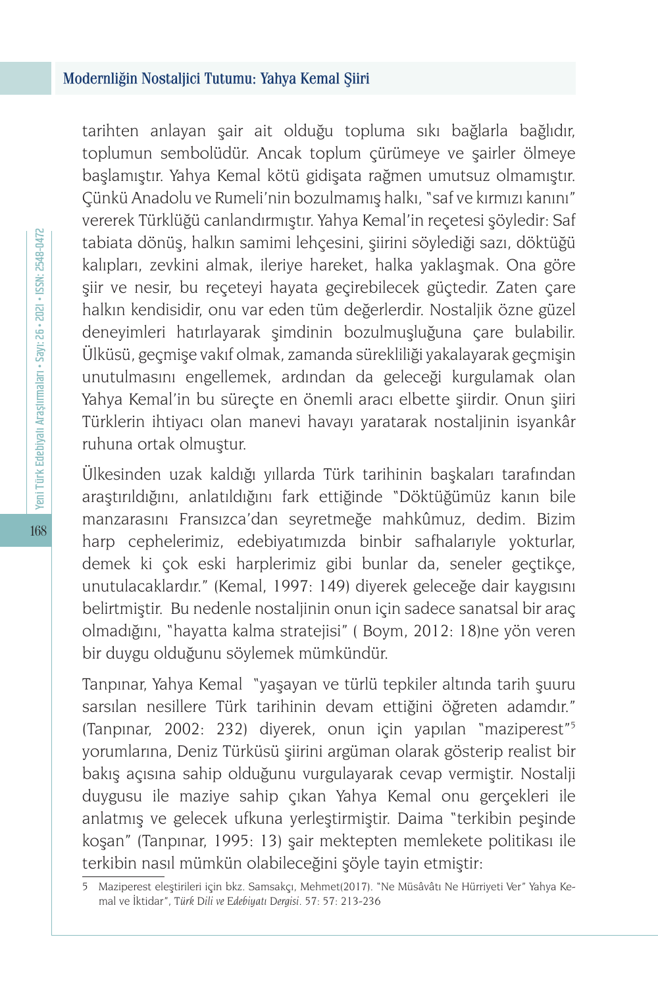tarihten anlayan şair ait olduğu topluma sıkı bağlarla bağlıdır, toplumun sembolüdür. Ancak toplum çürümeye ve şairler ölmeye başlamıştır. Yahya Kemal kötü gidişata rağmen umutsuz olmamıştır. Çünkü Anadolu ve Rumeli'nin bozulmamış halkı, "saf ve kırmızı kanını" vererek Türklüğü canlandırmıştır. Yahya Kemal'in reçetesi şöyledir: Saf tabiata dönüş, halkın samimi lehçesini, şiirini söylediği sazı, döktüğü kalıpları, zevkini almak, ileriye hareket, halka yaklaşmak. Ona göre şiir ve nesir, bu reçeteyi hayata geçirebilecek güçtedir. Zaten çare halkın kendisidir, onu var eden tüm değerlerdir. Nostaljik özne güzel deneyimleri hatırlayarak şimdinin bozulmuşluğuna çare bulabilir. Ülküsü, geçmişe vakıf olmak, zamanda sürekliliği yakalayarak geçmişin unutulmasını engellemek, ardından da geleceği kurgulamak olan Yahya Kemal'in bu süreçte en önemli aracı elbette şiirdir. Onun şiiri Türklerin ihtiyacı olan manevi havayı yaratarak nostaljinin isyankâr ruhuna ortak olmuştur.

Ülkesinden uzak kaldığı yıllarda Türk tarihinin başkaları tarafından araştırıldığını, anlatıldığını fark ettiğinde "Döktüğümüz kanın bile manzarasını Fransızca'dan seyretmeğe mahkûmuz, dedim. Bizim harp cephelerimiz, edebiyatımızda binbir safhalarıyle yokturlar, demek ki çok eski harplerimiz gibi bunlar da, seneler geçtikçe, unutulacaklardır." (Kemal, 1997: 149) diyerek geleceğe dair kaygısını belirtmiştir. Bu nedenle nostaljinin onun için sadece sanatsal bir araç olmadığını, "hayatta kalma stratejisi" ( Boym, 2012: 18)ne yön veren bir duygu olduğunu söylemek mümkündür.

Tanpınar, Yahya Kemal "yaşayan ve türlü tepkiler altında tarih şuuru sarsılan nesillere Türk tarihinin devam ettiğini öğreten adamdır." (Tanpınar, 2002: 232) diyerek, onun için yapılan "maziperest"5 yorumlarına, Deniz Türküsü şiirini argüman olarak gösterip realist bir bakış açısına sahip olduğunu vurgulayarak cevap vermiştir. Nostalji duygusu ile maziye sahip çıkan Yahya Kemal onu gerçekleri ile anlatmış ve gelecek ufkuna yerleştirmiştir. Daima "terkibin peşinde koşan" (Tanpınar, 1995: 13) şair mektepten memlekete politikası ile terkibin nasıl mümkün olabileceğini şöyle tayin etmiştir:

<sup>5</sup> Maziperest eleştirileri için bkz. Samsakçı, Mehmet(2017). "Ne Müsâvâtı Ne Hürriyeti Ver" Yahya Kemal ve İktidar", *Türk Dili ve Edebiyatı Dergisi*. 57: 57: 213-236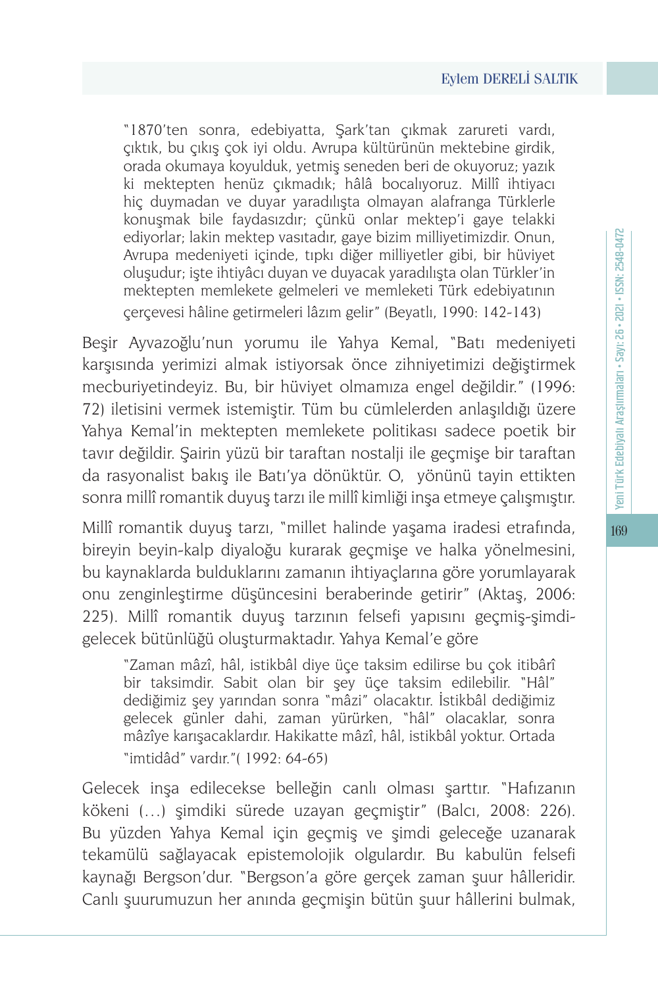"1870'ten sonra, edebiyatta, Şark'tan çıkmak zarureti vardı, çıktık, bu çıkış çok iyi oldu. Avrupa kültürünün mektebine girdik, orada okumaya koyulduk, yetmiş seneden beri de okuyoruz; yazık ki mektepten henüz çıkmadık; hâlâ bocalıyoruz. Millî ihtiyacı hiç duymadan ve duyar yaradılışta olmayan alafranga Türklerle konuşmak bile faydasızdır; çünkü onlar mektep'i gaye telakki ediyorlar; lakin mektep vasıtadır, gaye bizim milliyetimizdir. Onun, Avrupa medeniyeti içinde, tıpkı diğer milliyetler gibi, bir hüviyet oluşudur; işte ihtiyâcı duyan ve duyacak yaradılışta olan Türkler'in mektepten memlekete gelmeleri ve memleketi Türk edebiyatının çerçevesi hâline getirmeleri lâzım gelir" (Beyatlı, 1990: 142-143)

Beşir Ayvazoğlu'nun yorumu ile Yahya Kemal, "Batı medeniyeti karşısında yerimizi almak istiyorsak önce zihniyetimizi değiştirmek mecburiyetindeyiz. Bu, bir hüviyet olmamıza engel değildir." (1996: 72) iletisini vermek istemiştir. Tüm bu cümlelerden anlaşıldığı üzere Yahya Kemal'in mektepten memlekete politikası sadece poetik bir tavır değildir. Şairin yüzü bir taraftan nostalji ile geçmişe bir taraftan da rasyonalist bakış ile Batı'ya dönüktür. O, yönünü tayin ettikten sonra millî romantik duyuş tarzı ile millî kimliği inşa etmeye çalışmıştır.

Millî romantik duyuş tarzı, "millet halinde yaşama iradesi etrafında, bireyin beyin-kalp diyaloğu kurarak geçmişe ve halka yönelmesini, bu kaynaklarda bulduklarını zamanın ihtiyaçlarına göre yorumlayarak onu zenginleştirme düşüncesini beraberinde getirir" (Aktaş, 2006: 225). Millî romantik duyuş tarzının felsefi yapısını geçmiş-şimdigelecek bütünlüğü oluşturmaktadır. Yahya Kemal'e göre

"Zaman mâzî, hâl, istikbâl diye üçe taksim edilirse bu çok itibârî bir taksimdir. Sabit olan bir şey üçe taksim edilebilir. "Hâl" dediğimiz şey yarından sonra "mâzi" olacaktır. İstikbâl dediğimiz gelecek günler dahi, zaman yürürken, "hâl" olacaklar, sonra mâzîye karışacaklardır. Hakikatte mâzî, hâl, istikbâl yoktur. Ortada "imtidâd" vardır."( 1992: 64-65)

Gelecek inşa edilecekse belleğin canlı olması şarttır. "Hafızanın kökeni (…) şimdiki sürede uzayan geçmiştir" (Balcı, 2008: 226). Bu yüzden Yahya Kemal için geçmiş ve şimdi geleceğe uzanarak tekamülü sağlayacak epistemolojik olgulardır. Bu kabulün felsefi kaynağı Bergson'dur. "Bergson'a göre gerçek zaman şuur hâlleridir. Canlı şuurumuzun her anında geçmişin bütün şuur hâllerini bulmak,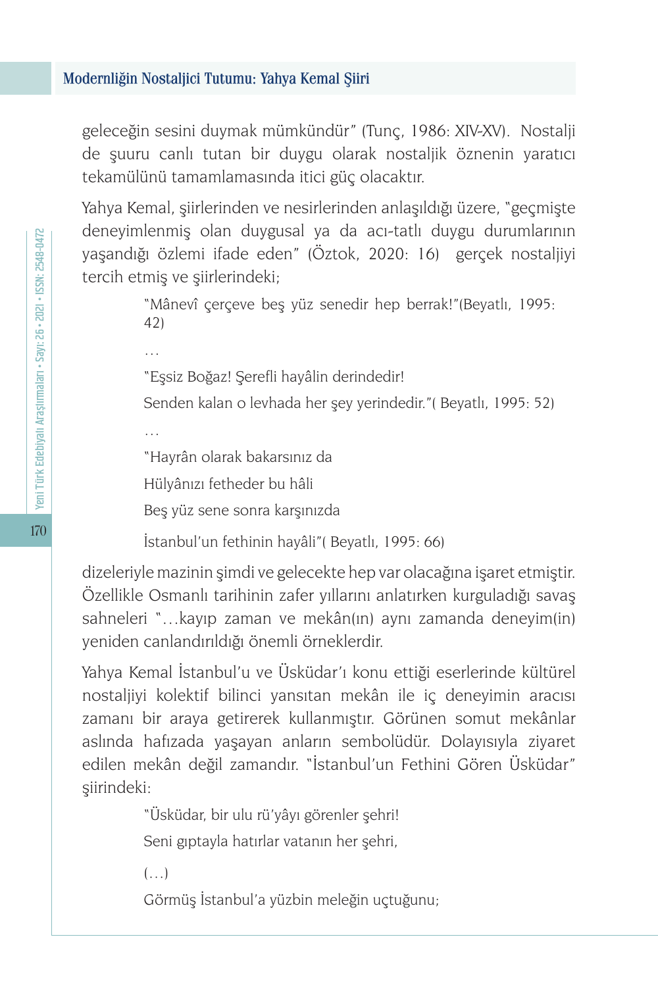geleceğin sesini duymak mümkündür" (Tunç, 1986: XIV-XV). Nostalji de şuuru canlı tutan bir duygu olarak nostaljik öznenin yaratıcı tekamülünü tamamlamasında itici güç olacaktır.

Yahya Kemal, şiirlerinden ve nesirlerinden anlaşıldığı üzere, "geçmişte deneyimlenmiş olan duygusal ya da acı-tatlı duygu durumlarının yaşandığı özlemi ifade eden" (Öztok, 2020: 16) gerçek nostaljiyi tercih etmiş ve şiirlerindeki;

> "Mânevî çerçeve beş yüz senedir hep berrak!"(Beyatlı, 1995: 42)

"Eşsiz Boğaz! Şerefli hayâlin derindedir!

Senden kalan o levhada her şey yerindedir."( Beyatlı, 1995: 52)

"Hayrân olarak bakarsınız da Hülyânızı fetheder bu hâli

Beş yüz sene sonra karşınızda

İstanbul'un fethinin hayâli"( Beyatlı, 1995: 66)

dizeleriyle mazinin şimdi ve gelecekte hep var olacağına işaret etmiştir. Özellikle Osmanlı tarihinin zafer yıllarını anlatırken kurguladığı savaş sahneleri "…kayıp zaman ve mekân(ın) aynı zamanda deneyim(in) yeniden canlandırıldığı önemli örneklerdir.

Yahya Kemal İstanbul'u ve Üsküdar'ı konu ettiği eserlerinde kültürel nostaljiyi kolektif bilinci yansıtan mekân ile iç deneyimin aracısı zamanı bir araya getirerek kullanmıştır. Görünen somut mekânlar aslında hafızada yaşayan anların sembolüdür. Dolayısıyla ziyaret edilen mekân değil zamandır. "İstanbul'un Fethini Gören Üsküdar" şiirindeki:

> "Üsküdar, bir ulu rü'yâyı görenler şehri! Seni gıptayla hatırlar vatanın her şehri,

 $(\ldots)$ 

…

…

Görmüş İstanbul'a yüzbin meleğin uçtuğunu;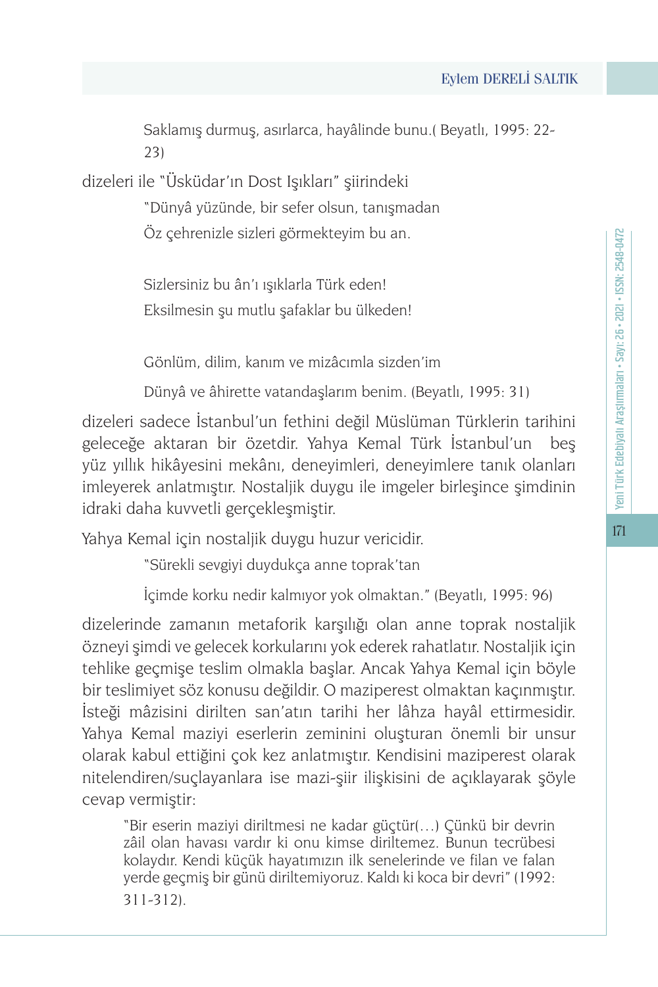Saklamış durmuş, asırlarca, hayâlinde bunu.( Beyatlı, 1995: 22- 23)

dizeleri ile "Üsküdar'ın Dost Işıkları" şiirindeki

"Dünyâ yüzünde, bir sefer olsun, tanışmadan Öz çehrenizle sizleri görmekteyim bu an.

Sizlersiniz bu ân'ı ışıklarla Türk eden! Eksilmesin şu mutlu şafaklar bu ülkeden!

Gönlüm, dilim, kanım ve mizâcımla sizden'im

Dünyâ ve âhirette vatandaşlarım benim. (Beyatlı, 1995: 31)

dizeleri sadece İstanbul'un fethini değil Müslüman Türklerin tarihini geleceğe aktaran bir özetdir. Yahya Kemal Türk İstanbul'un beş yüz yıllık hikâyesini mekânı, deneyimleri, deneyimlere tanık olanları imleyerek anlatmıştır. Nostaljik duygu ile imgeler birleşince şimdinin idraki daha kuvvetli gerçekleşmiştir.

Yahya Kemal için nostaljik duygu huzur vericidir.

"Sürekli sevgiyi duydukça anne toprak'tan

İçimde korku nedir kalmıyor yok olmaktan." (Beyatlı, 1995: 96)

dizelerinde zamanın metaforik karşılığı olan anne toprak nostaljik özneyi şimdi ve gelecek korkularını yok ederek rahatlatır. Nostaljik için tehlike geçmişe teslim olmakla başlar. Ancak Yahya Kemal için böyle bir teslimiyet söz konusu değildir. O maziperest olmaktan kaçınmıştır. İsteği mâzisini dirilten san'atın tarihi her lâhza hayâl ettirmesidir. Yahya Kemal maziyi eserlerin zeminini oluşturan önemli bir unsur olarak kabul ettiğini çok kez anlatmıştır. Kendisini maziperest olarak nitelendiren/suçlayanlara ise mazi-şiir ilişkisini de açıklayarak şöyle cevap vermiştir:

"Bir eserin maziyi diriltmesi ne kadar güçtür(…) Çünkü bir devrin zâil olan havası vardır ki onu kimse diriltemez. Bunun tecrübesi kolaydır. Kendi küçük hayatımızın ilk senelerinde ve filan ve falan yerde geçmiş bir günü diriltemiyoruz. Kaldı ki koca bir devri" (1992: 311-312).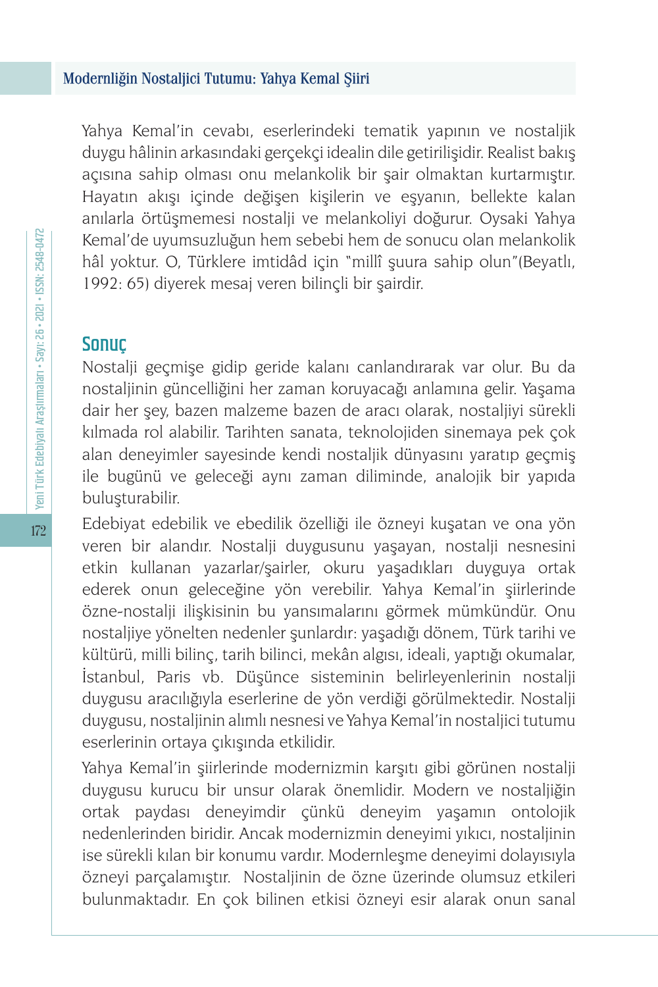Yahya Kemal'in cevabı, eserlerindeki tematik yapının ve nostaljik duygu hâlinin arkasındaki gerçekçi idealin dile getirilişidir. Realist bakış açısına sahip olması onu melankolik bir şair olmaktan kurtarmıştır. Hayatın akışı içinde değişen kişilerin ve eşyanın, bellekte kalan anılarla örtüşmemesi nostalji ve melankoliyi doğurur. Oysaki Yahya Kemal'de uyumsuzluğun hem sebebi hem de sonucu olan melankolik hâl yoktur. O, Türklere imtidâd için "millî şuura sahip olun"(Beyatlı, 1992: 65) diyerek mesaj veren bilinçli bir şairdir.

### Sonuç

Nostalji geçmişe gidip geride kalanı canlandırarak var olur. Bu da nostaljinin güncelliğini her zaman koruyacağı anlamına gelir. Yaşama dair her şey, bazen malzeme bazen de aracı olarak, nostaljiyi sürekli kılmada rol alabilir. Tarihten sanata, teknolojiden sinemaya pek çok alan deneyimler sayesinde kendi nostaljik dünyasını yaratıp geçmiş ile bugünü ve geleceği aynı zaman diliminde, analojik bir yapıda buluşturabilir.

Edebiyat edebilik ve ebedilik özelliği ile özneyi kuşatan ve ona yön veren bir alandır. Nostalji duygusunu yaşayan, nostalji nesnesini etkin kullanan yazarlar/şairler, okuru yaşadıkları duyguya ortak ederek onun geleceğine yön verebilir. Yahya Kemal'in şiirlerinde özne-nostalji ilişkisinin bu yansımalarını görmek mümkündür. Onu nostaljiye yönelten nedenler şunlardır: yaşadığı dönem, Türk tarihi ve kültürü, milli bilinç, tarih bilinci, mekân algısı, ideali, yaptığı okumalar, İstanbul, Paris vb. Düşünce sisteminin belirleyenlerinin nostalji duygusu aracılığıyla eserlerine de yön verdiği görülmektedir. Nostalji duygusu, nostaljinin alımlı nesnesi ve Yahya Kemal'in nostaljici tutumu eserlerinin ortaya çıkışında etkilidir.

Yahya Kemal'in şiirlerinde modernizmin karşıtı gibi görünen nostalji duygusu kurucu bir unsur olarak önemlidir. Modern ve nostaljiğin ortak paydası deneyimdir çünkü deneyim yaşamın ontolojik nedenlerinden biridir. Ancak modernizmin deneyimi yıkıcı, nostaljinin ise sürekli kılan bir konumu vardır. Modernleşme deneyimi dolayısıyla özneyi parçalamıştır. Nostaljinin de özne üzerinde olumsuz etkileri bulunmaktadır. En çok bilinen etkisi özneyi esir alarak onun sanal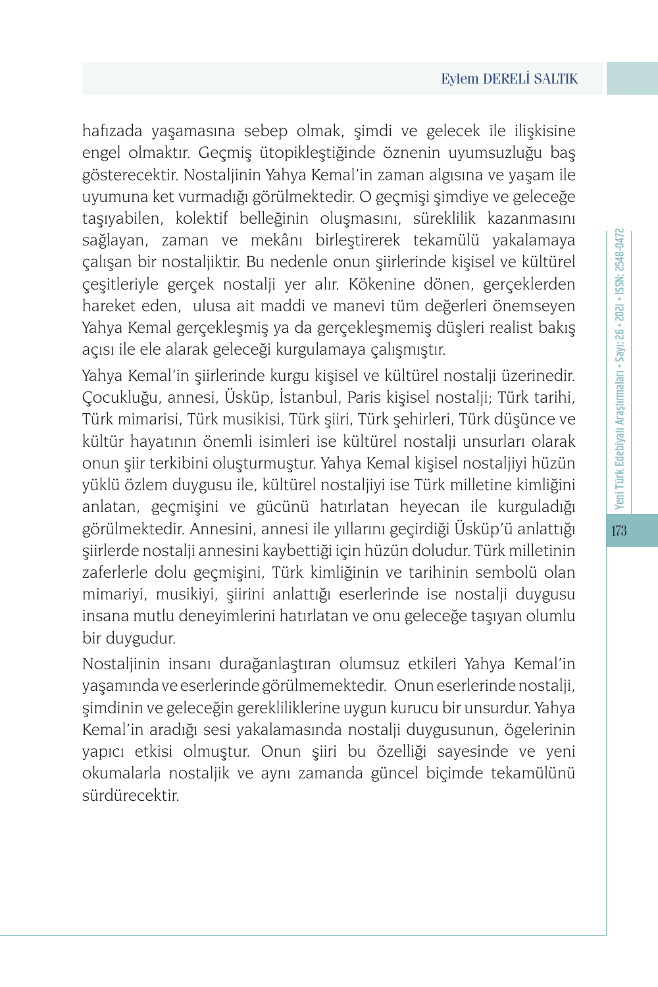hafızada yaşamasına sebep olmak, şimdi ve gelecek ile ilişkisine engel olmaktır. Geçmiş ütopikleştiğinde öznenin uyumsuzluğu baş gösterecektir. Nostaljinin Yahya Kemal'in zaman algısına ve yaşam ile uyumuna ket vurmadığı görülmektedir. O geçmişi şimdiye ve geleceğe taşıyabilen, kolektif belleğinin oluşmasını, süreklilik kazanmasını sağlayan, zaman ve mekânı birleştirerek tekamülü yakalamaya çalışan bir nostaljiktir. Bu nedenle onun şiirlerinde kişisel ve kültürel çeşitleriyle gerçek nostalji yer alır. Kökenine dönen, gerçeklerden hareket eden, ulusa ait maddi ve manevi tüm değerleri önemseyen Yahya Kemal gerçekleşmiş ya da gerçekleşmemiş düşleri realist bakış açısı ile ele alarak geleceği kurgulamaya çalışmıştır.

Yahya Kemal'in şiirlerinde kurgu kişisel ve kültürel nostalji üzerinedir. Çocukluğu, annesi, Üsküp, İstanbul, Paris kişisel nostalji; Türk tarihi, Türk mimarisi, Türk musikisi, Türk şiiri, Türk şehirleri, Türk düşünce ve kültür hayatının önemli isimleri ise kültürel nostalji unsurları olarak onun şiir terkibini oluşturmuştur. Yahya Kemal kişisel nostaljiyi hüzün yüklü özlem duygusu ile, kültürel nostaljiyi ise Türk milletine kimliğini anlatan, geçmişini ve gücünü hatırlatan heyecan ile kurguladığı görülmektedir. Annesini, annesi ile yıllarını geçirdiği Üsküp'ü anlattığı şiirlerde nostalji annesini kaybettiği için hüzün doludur. Türk milletinin zaferlerle dolu geçmişini, Türk kimliğinin ve tarihinin sembolü olan mimariyi, musikiyi, şiirini anlattığı eserlerinde ise nostalji duygusu insana mutlu deneyimlerini hatırlatan ve onu geleceğe taşıyan olumlu bir duygudur.

Nostaljinin insanı durağanlaştıran olumsuz etkileri Yahya Kemal'in yaşamında ve eserlerinde görülmemektedir. Onun eserlerinde nostalji, şimdinin ve geleceğin gerekliliklerine uygun kurucu bir unsurdur. Yahya Kemal'in aradığı sesi yakalamasında nostalji duygusunun, ögelerinin yapıcı etkisi olmuştur. Onun şiiri bu özelliği sayesinde ve yeni okumalarla nostaljik ve aynı zamanda güncel biçimde tekamülünü sürdürecektir.

173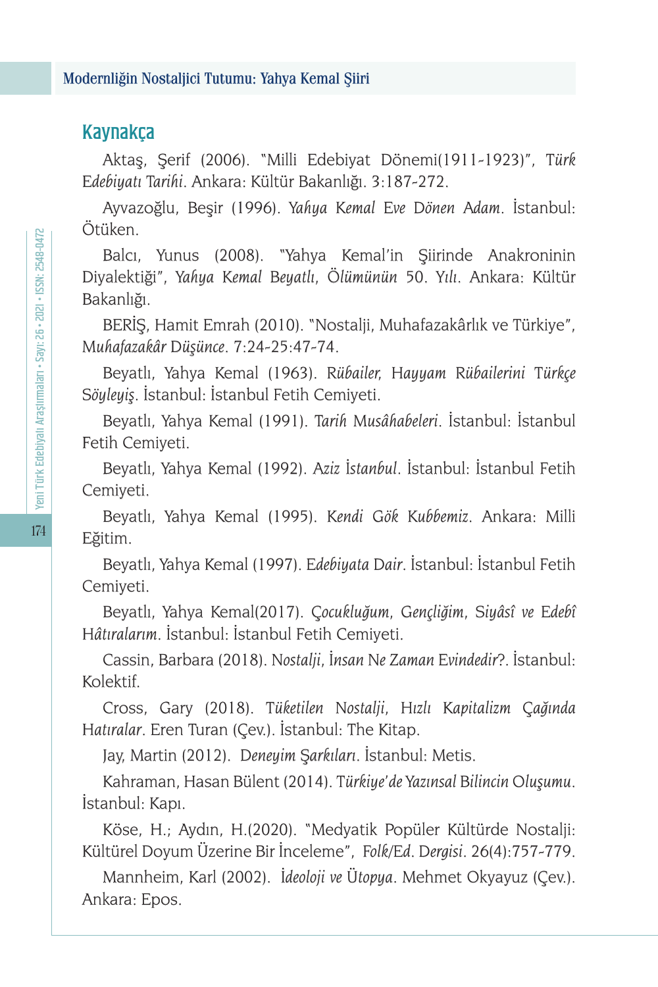## Kaynakça

Aktaş, Şerif (2006). "Milli Edebiyat Dönemi(1911-1923)", *Türk Edebiyatı Tarihi*. Ankara: Kültür Bakanlığı. 3:187-272.

Ayvazoğlu, Beşir (1996). *Yahya Kemal Eve Dönen Adam*. İstanbul: Ötüken.

Balcı, Yunus (2008). "Yahya Kemal'in Şiirinde Anakroninin Diyalektiği", *Yahya Kemal Beyatlı, Ölümünün 50. Yılı*. Ankara: Kültür Bakanlığı.

BERİŞ, Hamit Emrah (2010). "Nostalji, Muhafazakârlık ve Türkiye", *Muhafazakâr Düşünce*. 7:24-25:47-74.

Beyatlı, Yahya Kemal (1963). *Rübailer, Hayyam Rübailerini Türkçe Söyleyiş*. İstanbul: İstanbul Fetih Cemiyeti.

Beyatlı, Yahya Kemal (1991). *Tarih Musâhabeleri*. İstanbul: İstanbul Fetih Cemiyeti.

Beyatlı, Yahya Kemal (1992). *Aziz İstanbul*. İstanbul: İstanbul Fetih Cemiyeti.

Beyatlı, Yahya Kemal (1995). *Kendi Gök Kubbemiz*. Ankara: Milli Eğitim.

Beyatlı, Yahya Kemal (1997). *Edebiyata Dair*. İstanbul: İstanbul Fetih Cemiyeti.

Beyatlı, Yahya Kemal(2017). *Çocukluğum, Gençliğim, Siyâsî ve Edebî Hâtıralarım*. İstanbul: İstanbul Fetih Cemiyeti.

Cassin, Barbara (2018). *Nostalji, İnsan Ne Zaman Evindedir?.* İstanbul: Kolektif.

Cross, Gary (2018). T*üketilen Nostalji, Hızlı Kapitalizm Çağında Hatıralar*. Eren Turan (Çev.). İstanbul: The Kitap.

Jay, Martin (2012). *Deneyim Şarkıları*. İstanbul: Metis.

Kahraman, Hasan Bülent (2014). *Türkiye'de Yazınsal Bilincin Oluşumu*. İstanbul: Kapı.

Köse, H.; Aydın, H.(2020). "Medyatik Popüler Kültürde Nostalji: Kültürel Doyum Üzerine Bir İnceleme", *Folk/Ed. Dergisi*. 26(4):757-779.

Mannheim, Karl (2002). *İdeoloji ve Ütopya*. Mehmet Okyayuz (Çev.). Ankara: Epos.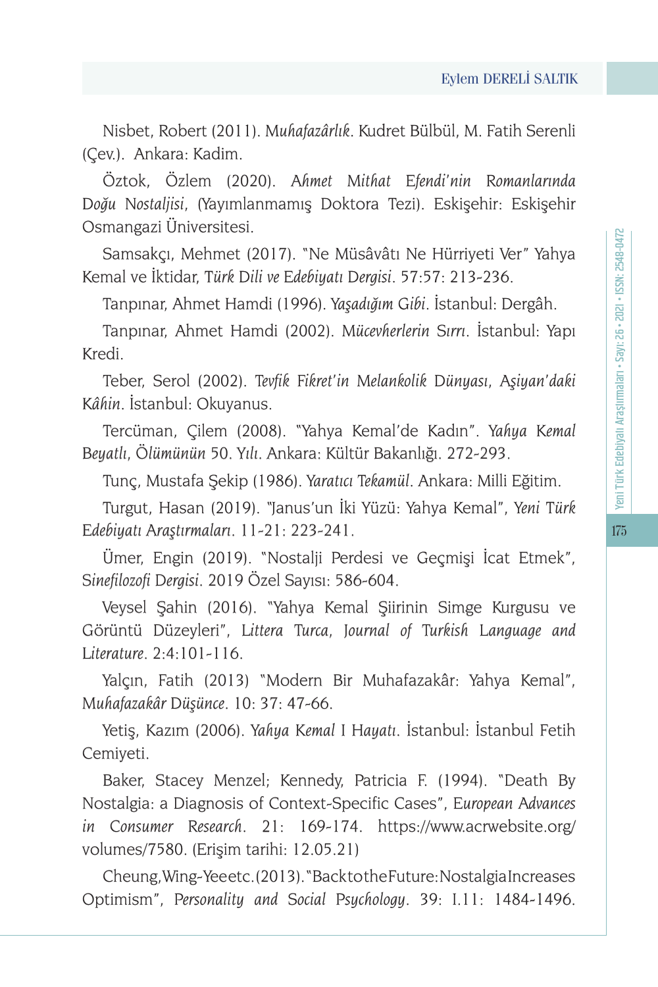Nisbet, Robert (2011). *Muhafazârlık*. Kudret Bülbül, M. Fatih Serenli (Çev.). Ankara: Kadim.

Öztok, Özlem (2020). *Ahmet Mithat Efendi'nin Romanlarında Doğu Nostaljisi*, (Yayımlanmamış Doktora Tezi). Eskişehir: Eskişehir Osmangazi Üniversitesi.

Samsakçı, Mehmet (2017). "Ne Müsâvâtı Ne Hürriyeti Ver" Yahya Kemal ve İktidar, *Türk Dili ve Edebiyatı Dergisi*. 57:57: 213-236.

Tanpınar, Ahmet Hamdi (1996). *Yaşadığım Gibi*. İstanbul: Dergâh.

Tanpınar, Ahmet Hamdi (2002). *Mücevherlerin Sırrı*. İstanbul: Yapı Kredi.

Teber, Serol (2002). *Tevfik Fikret'in Melankolik Dünyası, Aşiyan'daki Kâhin*. İstanbul: Okuyanus.

Tercüman, Çilem (2008). "Yahya Kemal'de Kadın". *Yahya Kemal Beyatlı, Ölümünün 50. Yılı*. Ankara: Kültür Bakanlığı. 272-293.

Tunç, Mustafa Şekip (1986). *Yaratıcı Tekamül*. Ankara: Milli Eğitim.

Turgut, Hasan (2019). "Janus'un İki Yüzü: Yahya Kemal", *Yeni Türk Edebiyatı Araştırmaları*. 11-21: 223-241.

Ümer, Engin (2019). "Nostalji Perdesi ve Geçmişi İcat Etmek", *Sinefilozofi Dergisi*. 2019 Özel Sayısı: 586-604.

Veysel Şahin (2016). "Yahya Kemal Şiirinin Simge Kurgusu ve Görüntü Düzeyleri", *Littera Turca, Journal of Turkish Language and Literature*. 2:4:101-116.

Yalçın, Fatih (2013) "Modern Bir Muhafazakâr: Yahya Kemal", *Muhafazakâr Düşünce*. 10: 37: 47-66.

Yetiş, Kazım (2006). *Yahya Kemal I Hayatı*. İstanbul: İstanbul Fetih Cemiyeti.

Baker, Stacey Menzel; Kennedy, Patricia F. (1994). "Death By Nostalgia: a Diagnosis of Context-Specific Cases", *European Advances in Consumer Research*. 21: 169-174. https://www.acrwebsite.org/ volumes/7580. (Erişim tarihi: 12.05.21)

Cheung, Wing- Yee etc. (2013). "Back to the Future: Nostalgia Increases Optimism", *Personality and Social Psychology*. 39: I.11: 1484-1496.